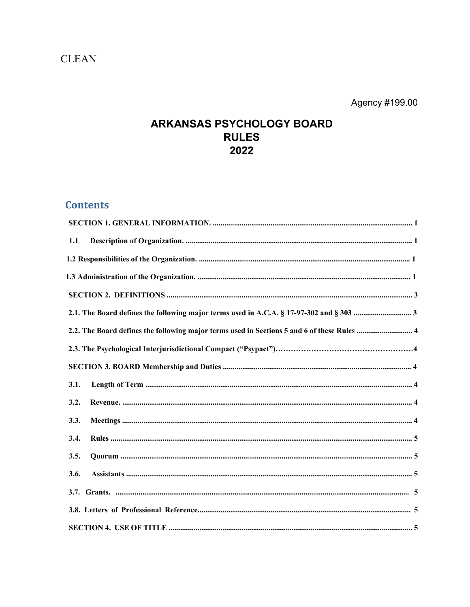# **CLEAN**

Agency #199.00

# ARKANSAS PSYCHOLOGY BOARD **RULES** 2022

# **Contents**

| 1.1                                                                                         |  |
|---------------------------------------------------------------------------------------------|--|
|                                                                                             |  |
|                                                                                             |  |
|                                                                                             |  |
|                                                                                             |  |
| 2.2. The Board defines the following major terms used in Sections 5 and 6 of these Rules  4 |  |
|                                                                                             |  |
|                                                                                             |  |
| 3.1.                                                                                        |  |
| 3.2.                                                                                        |  |
| 3.3.                                                                                        |  |
| 3.4.                                                                                        |  |
| 3.5.                                                                                        |  |
| 3.6.                                                                                        |  |
|                                                                                             |  |
|                                                                                             |  |
|                                                                                             |  |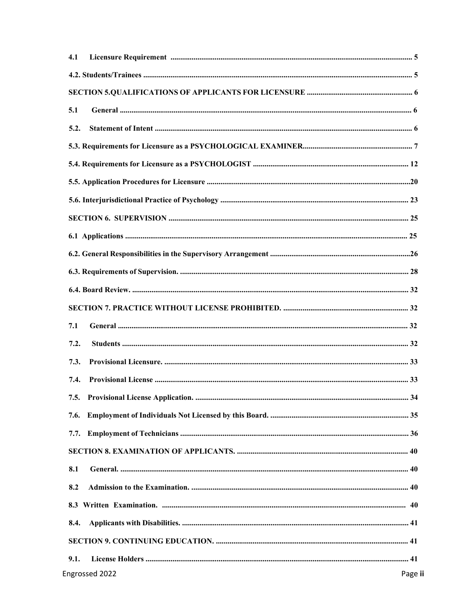| 4.1  |  |
|------|--|
|      |  |
|      |  |
| 5.1  |  |
| 5.2. |  |
|      |  |
|      |  |
|      |  |
|      |  |
|      |  |
|      |  |
|      |  |
|      |  |
|      |  |
|      |  |
| 7.1  |  |
| 7.2. |  |
| 7.3. |  |
| 7.4. |  |
|      |  |
| 7.6. |  |
| 7.7. |  |
|      |  |
| 8.1  |  |
| 8.2  |  |
|      |  |
|      |  |
| 8.4. |  |
|      |  |
| 9.1. |  |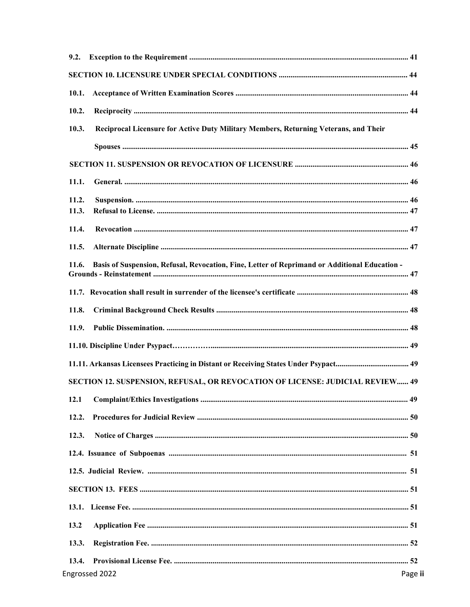| 9.2.  |                                                                                               |      |
|-------|-----------------------------------------------------------------------------------------------|------|
|       |                                                                                               |      |
| 10.1. |                                                                                               |      |
| 10.2. |                                                                                               |      |
| 10.3. | Reciprocal Licensure for Active Duty Military Members, Returning Veterans, and Their          |      |
|       |                                                                                               |      |
|       |                                                                                               |      |
| 11.1. |                                                                                               |      |
| 11.2. |                                                                                               |      |
| 11.3. |                                                                                               |      |
| 11.4. |                                                                                               |      |
| 11.5. |                                                                                               |      |
| 11.6. | Basis of Suspension, Refusal, Revocation, Fine, Letter of Reprimand or Additional Education - |      |
|       |                                                                                               |      |
| 11.8. |                                                                                               |      |
| 11.9. |                                                                                               |      |
|       |                                                                                               |      |
|       |                                                                                               |      |
|       | SECTION 12. SUSPENSION, REFUSAL, OR REVOCATION OF LICENSE: JUDICIAL REVIEW 49                 |      |
| 12.1  |                                                                                               |      |
| 12.2. |                                                                                               |      |
| 12.3. |                                                                                               |      |
|       |                                                                                               |      |
|       |                                                                                               |      |
|       |                                                                                               |      |
|       |                                                                                               |      |
| 13.2  |                                                                                               |      |
| 13.3. |                                                                                               |      |
| 13.4. |                                                                                               |      |
|       | ngrossed 2022                                                                                 | Page |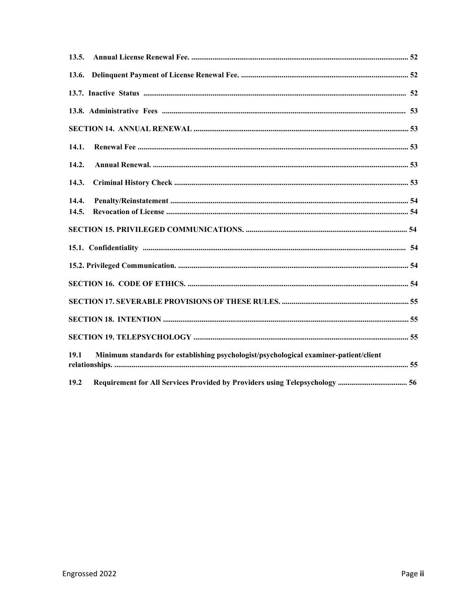| 13.6.                                                                                         |  |
|-----------------------------------------------------------------------------------------------|--|
|                                                                                               |  |
|                                                                                               |  |
|                                                                                               |  |
| 14.1.                                                                                         |  |
| 14.2.                                                                                         |  |
| 14.3.                                                                                         |  |
| 14.4.                                                                                         |  |
| 14.5.                                                                                         |  |
|                                                                                               |  |
|                                                                                               |  |
|                                                                                               |  |
|                                                                                               |  |
|                                                                                               |  |
|                                                                                               |  |
|                                                                                               |  |
| Minimum standards for establishing psychologist/psychological examiner-patient/client<br>19.1 |  |
| 19.2<br>Requirement for All Services Provided by Providers using Telepsychology  56           |  |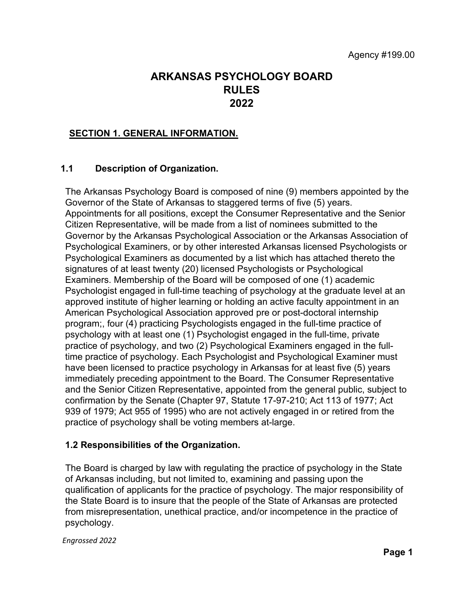# **ARKANSAS PSYCHOLOGY BOARD RULES 2022**

### **SECTION 1. GENERAL INFORMATION.**

## **1.1 Description of Organization.**

The Arkansas Psychology Board is composed of nine (9) members appointed by the Governor of the State of Arkansas to staggered terms of five (5) years. Appointments for all positions, except the Consumer Representative and the Senior Citizen Representative, will be made from a list of nominees submitted to the Governor by the Arkansas Psychological Association or the Arkansas Association of Psychological Examiners, or by other interested Arkansas licensed Psychologists or Psychological Examiners as documented by a list which has attached thereto the signatures of at least twenty (20) licensed Psychologists or Psychological Examiners. Membership of the Board will be composed of one (1) academic Psychologist engaged in full-time teaching of psychology at the graduate level at an approved institute of higher learning or holding an active faculty appointment in an American Psychological Association approved pre or post-doctoral internship program;, four (4) practicing Psychologists engaged in the full-time practice of psychology with at least one (1) Psychologist engaged in the full-time, private practice of psychology, and two (2) Psychological Examiners engaged in the fulltime practice of psychology. Each Psychologist and Psychological Examiner must have been licensed to practice psychology in Arkansas for at least five (5) years immediately preceding appointment to the Board. The Consumer Representative and the Senior Citizen Representative, appointed from the general public, subject to confirmation by the Senate (Chapter 97, Statute 17-97-210; Act 113 of 1977; Act 939 of 1979; Act 955 of 1995) who are not actively engaged in or retired from the practice of psychology shall be voting members at-large.

### **1.2 Responsibilities of the Organization.**

The Board is charged by law with regulating the practice of psychology in the State of Arkansas including, but not limited to, examining and passing upon the qualification of applicants for the practice of psychology. The major responsibility of the State Board is to insure that the people of the State of Arkansas are protected from misrepresentation, unethical practice, and/or incompetence in the practice of psychology.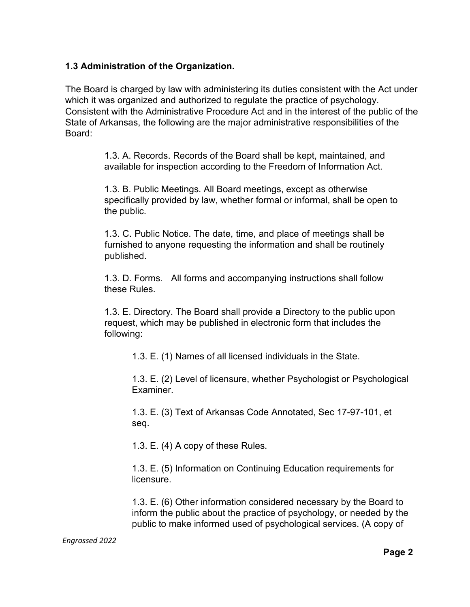## **1.3 Administration of the Organization.**

The Board is charged by law with administering its duties consistent with the Act under which it was organized and authorized to regulate the practice of psychology. Consistent with the Administrative Procedure Act and in the interest of the public of the State of Arkansas, the following are the major administrative responsibilities of the Board:

> 1.3. A. Records. Records of the Board shall be kept, maintained, and available for inspection according to the Freedom of Information Act.

1.3. B. Public Meetings. All Board meetings, except as otherwise specifically provided by law, whether formal or informal, shall be open to the public.

1.3. C. Public Notice. The date, time, and place of meetings shall be furnished to anyone requesting the information and shall be routinely published.

1.3. D. Forms. All forms and accompanying instructions shall follow these Rules.

1.3. E. Directory. The Board shall provide a Directory to the public upon request, which may be published in electronic form that includes the following:

1.3. E. (1) Names of all licensed individuals in the State.

1.3. E. (2) Level of licensure, whether Psychologist or Psychological Examiner.

1.3. E. (3) Text of Arkansas Code Annotated, Sec 17-97-101, et seq.

1.3. E. (4) A copy of these Rules.

1.3. E. (5) Information on Continuing Education requirements for licensure.

1.3. E. (6) Other information considered necessary by the Board to inform the public about the practice of psychology, or needed by the public to make informed used of psychological services. (A copy of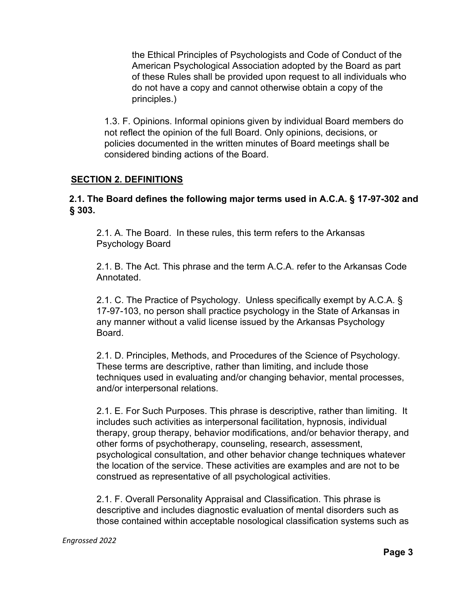the Ethical Principles of Psychologists and Code of Conduct of the American Psychological Association adopted by the Board as part of these Rules shall be provided upon request to all individuals who do not have a copy and cannot otherwise obtain a copy of the principles.)

1.3. F. Opinions. Informal opinions given by individual Board members do not reflect the opinion of the full Board. Only opinions, decisions, or policies documented in the written minutes of Board meetings shall be considered binding actions of the Board.

## **SECTION 2. DEFINITIONS**

## **2.1. The Board defines the following major terms used in A.C.A. § 17-97-302 and § 303.**

2.1. A. The Board. In these rules, this term refers to the Arkansas Psychology Board

2.1. B. The Act. This phrase and the term A.C.A. refer to the Arkansas Code Annotated.

2.1. C. The Practice of Psychology. Unless specifically exempt by A.C.A. § 17-97-103, no person shall practice psychology in the State of Arkansas in any manner without a valid license issued by the Arkansas Psychology Board.

2.1. D. Principles, Methods, and Procedures of the Science of Psychology. These terms are descriptive, rather than limiting, and include those techniques used in evaluating and/or changing behavior, mental processes, and/or interpersonal relations.

2.1. E. For Such Purposes. This phrase is descriptive, rather than limiting. It includes such activities as interpersonal facilitation, hypnosis, individual therapy, group therapy, behavior modifications, and/or behavior therapy, and other forms of psychotherapy, counseling, research, assessment, psychological consultation, and other behavior change techniques whatever the location of the service. These activities are examples and are not to be construed as representative of all psychological activities.

2.1. F. Overall Personality Appraisal and Classification. This phrase is descriptive and includes diagnostic evaluation of mental disorders such as those contained within acceptable nosological classification systems such as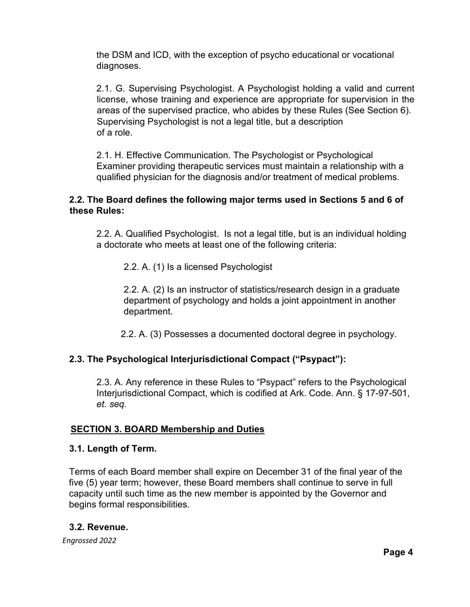the DSM and ICD, with the exception of psycho educational or vocational diagnoses.

2.1. G. Supervising Psychologist. A Psychologist holding a valid and current license, whose training and experience are appropriate for supervision in the areas of the supervised practice, who abides by these Rules (See Section 6). Supervising Psychologist is not a legal title, but a description of a role.

2.1. H. Effective Communication. The Psychologist or Psychological Examiner providing therapeutic services must maintain a relationship with a qualified physician for the diagnosis and/or treatment of medical problems.

## **2.2. The Board defines the following major terms used in Sections 5 and 6 of these Rules:**

2.2. A. Qualified Psychologist. Is not a legal title, but is an individual holding a doctorate who meets at least one of the following criteria:

2.2. A. (1) Is a licensed Psychologist

2.2. A. (2) Is an instructor of statistics/research design in a graduate department of psychology and holds a joint appointment in another department.

2.2. A. (3) Possesses a documented doctoral degree in psychology.

# **2.3. The Psychological Interjurisdictional Compact ("Psypact"):**

2.3. A. Any reference in these Rules to "Psypact" refers to the Psychological Interjurisdictional Compact, which is codified at Ark. Code. Ann. § 17-97-501, *et. seq.*

## **SECTION 3. BOARD Membership and Duties**

## **3.1. Length of Term.**

Terms of each Board member shall expire on December 31 of the final year of the five (5) year term; however, these Board members shall continue to serve in full capacity until such time as the new member is appointed by the Governor and begins formal responsibilities.

## **3.2. Revenue.**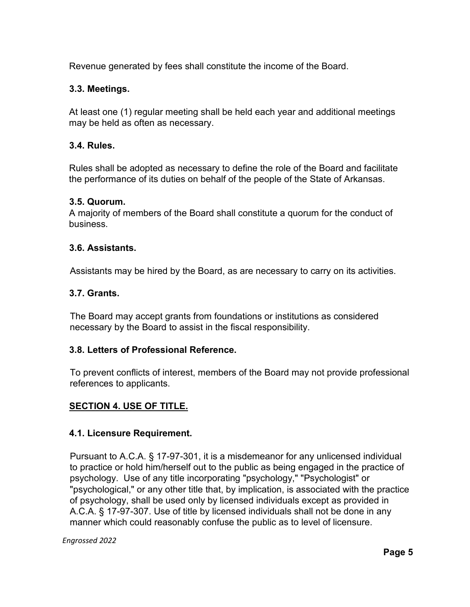Revenue generated by fees shall constitute the income of the Board.

## **3.3. Meetings.**

At least one (1) regular meeting shall be held each year and additional meetings may be held as often as necessary.

## **3.4. Rules.**

Rules shall be adopted as necessary to define the role of the Board and facilitate the performance of its duties on behalf of the people of the State of Arkansas.

### **3.5. Quorum.**

A majority of members of the Board shall constitute a quorum for the conduct of business.

### **3.6. Assistants.**

Assistants may be hired by the Board, as are necessary to carry on its activities.

### **3.7. Grants.**

The Board may accept grants from foundations or institutions as considered necessary by the Board to assist in the fiscal responsibility.

### **3.8. Letters of Professional Reference.**

To prevent conflicts of interest, members of the Board may not provide professional references to applicants.

## **SECTION 4. USE OF TITLE.**

### **4.1. Licensure Requirement.**

Pursuant to A.C.A. § 17-97-301, it is a misdemeanor for any unlicensed individual to practice or hold him/herself out to the public as being engaged in the practice of psychology. Use of any title incorporating "psychology," "Psychologist" or "psychological," or any other title that, by implication, is associated with the practice of psychology, shall be used only by licensed individuals except as provided in A.C.A. § 17-97-307. Use of title by licensed individuals shall not be done in any manner which could reasonably confuse the public as to level of licensure.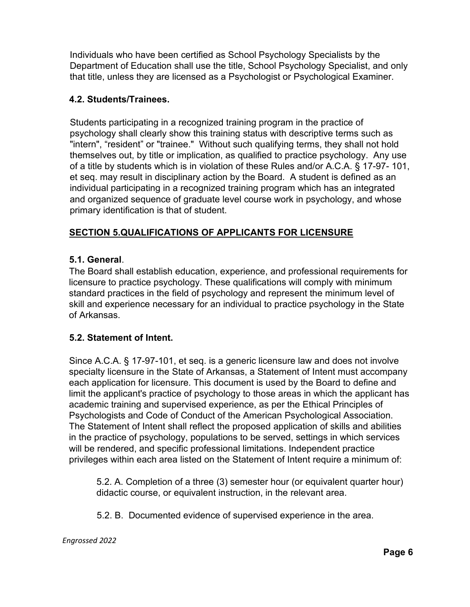Individuals who have been certified as School Psychology Specialists by the Department of Education shall use the title, School Psychology Specialist, and only that title, unless they are licensed as a Psychologist or Psychological Examiner.

# **4.2. Students/Trainees.**

Students participating in a recognized training program in the practice of psychology shall clearly show this training status with descriptive terms such as "intern", "resident" or "trainee." Without such qualifying terms, they shall not hold themselves out, by title or implication, as qualified to practice psychology. Any use of a title by students which is in violation of these Rules and/or A.C.A. § 17-97- 101, et seq. may result in disciplinary action by the Board. A student is defined as an individual participating in a recognized training program which has an integrated and organized sequence of graduate level course work in psychology, and whose primary identification is that of student.

# **SECTION 5.QUALIFICATIONS OF APPLICANTS FOR LICENSURE**

# **5.1. General**.

The Board shall establish education, experience, and professional requirements for licensure to practice psychology. These qualifications will comply with minimum standard practices in the field of psychology and represent the minimum level of skill and experience necessary for an individual to practice psychology in the State of Arkansas.

# **5.2. Statement of Intent.**

Since A.C.A. § 17-97-101, et seq. is a generic licensure law and does not involve specialty licensure in the State of Arkansas, a Statement of Intent must accompany each application for licensure. This document is used by the Board to define and limit the applicant's practice of psychology to those areas in which the applicant has academic training and supervised experience, as per the Ethical Principles of Psychologists and Code of Conduct of the American Psychological Association. The Statement of Intent shall reflect the proposed application of skills and abilities in the practice of psychology, populations to be served, settings in which services will be rendered, and specific professional limitations. Independent practice privileges within each area listed on the Statement of Intent require a minimum of:

5.2. A. Completion of a three (3) semester hour (or equivalent quarter hour) didactic course, or equivalent instruction, in the relevant area.

5.2. B. Documented evidence of supervised experience in the area.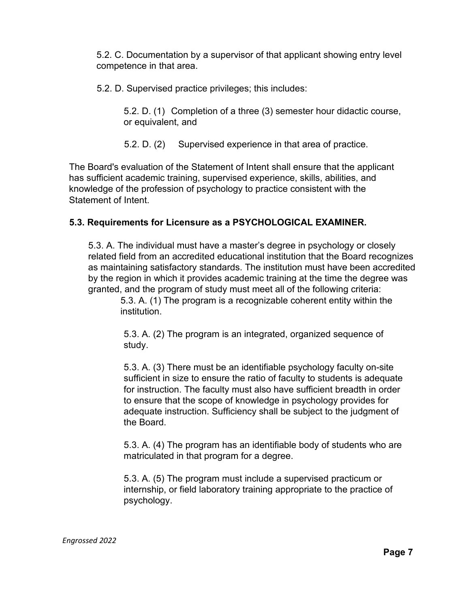5.2. C. Documentation by a supervisor of that applicant showing entry level competence in that area.

5.2. D. Supervised practice privileges; this includes:

5.2. D. (1) Completion of a three (3) semester hour didactic course, or equivalent, and

5.2. D. (2) Supervised experience in that area of practice.

The Board's evaluation of the Statement of Intent shall ensure that the applicant has sufficient academic training, supervised experience, skills, abilities, and knowledge of the profession of psychology to practice consistent with the Statement of Intent.

## **5.3. Requirements for Licensure as a PSYCHOLOGICAL EXAMINER.**

5.3. A. The individual must have a master's degree in psychology or closely related field from an accredited educational institution that the Board recognizes as maintaining satisfactory standards. The institution must have been accredited by the region in which it provides academic training at the time the degree was granted, and the program of study must meet all of the following criteria:

5.3. A. (1) The program is a recognizable coherent entity within the institution.

5.3. A. (2) The program is an integrated, organized sequence of study.

5.3. A. (3) There must be an identifiable psychology faculty on-site sufficient in size to ensure the ratio of faculty to students is adequate for instruction. The faculty must also have sufficient breadth in order to ensure that the scope of knowledge in psychology provides for adequate instruction. Sufficiency shall be subject to the judgment of the Board.

5.3. A. (4) The program has an identifiable body of students who are matriculated in that program for a degree.

5.3. A. (5) The program must include a supervised practicum or internship, or field laboratory training appropriate to the practice of psychology.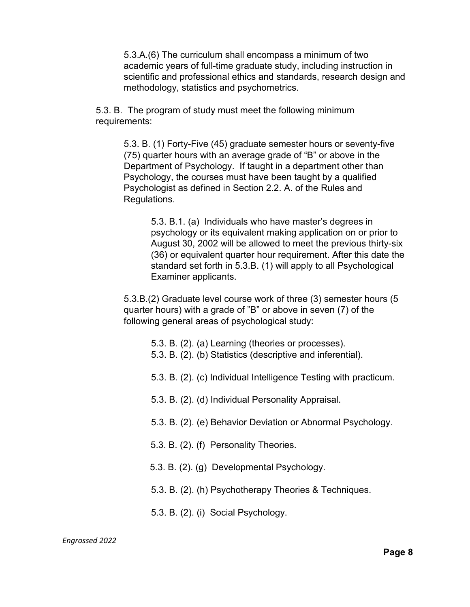5.3.A.(6) The curriculum shall encompass a minimum of two academic years of full-time graduate study, including instruction in scientific and professional ethics and standards, research design and methodology, statistics and psychometrics.

5.3. B. The program of study must meet the following minimum requirements:

> 5.3. B. (1) Forty-Five (45) graduate semester hours or seventy-five (75) quarter hours with an average grade of "B" or above in the Department of Psychology. If taught in a department other than Psychology, the courses must have been taught by a qualified Psychologist as defined in Section 2.2. A. of the Rules and Regulations.

> > 5.3. B.1. (a) Individuals who have master's degrees in psychology or its equivalent making application on or prior to August 30, 2002 will be allowed to meet the previous thirty-six (36) or equivalent quarter hour requirement. After this date the standard set forth in 5.3.B. (1) will apply to all Psychological Examiner applicants.

5.3.B.(2) Graduate level course work of three (3) semester hours (5 quarter hours) with a grade of "B" or above in seven (7) of the following general areas of psychological study:

- 5.3. B. (2). (a) Learning (theories or processes).
- 5.3. B. (2). (b) Statistics (descriptive and inferential).
- 5.3. B. (2). (c) Individual Intelligence Testing with practicum.
- 5.3. B. (2). (d) Individual Personality Appraisal.
- 5.3. B. (2). (e) Behavior Deviation or Abnormal Psychology.
- 5.3. B. (2). (f) Personality Theories.
- 5.3. B. (2). (g) Developmental Psychology.
- 5.3. B. (2). (h) Psychotherapy Theories & Techniques.
- 5.3. B. (2). (i) Social Psychology.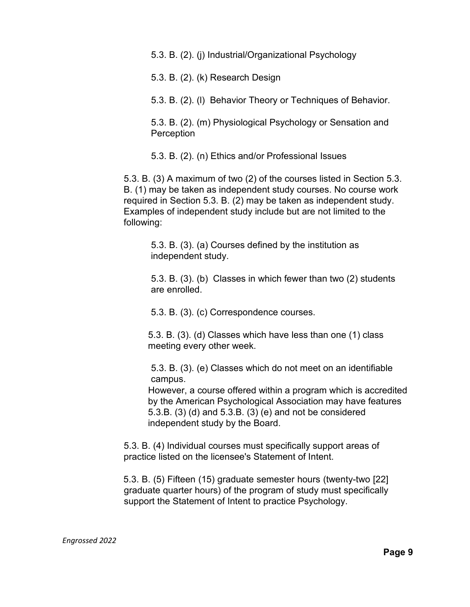5.3. B. (2). (j) Industrial/Organizational Psychology

5.3. B. (2). (k) Research Design

5.3. B. (2). (l) Behavior Theory or Techniques of Behavior.

5.3. B. (2). (m) Physiological Psychology or Sensation and **Perception** 

5.3. B. (2). (n) Ethics and/or Professional Issues

5.3. B. (3) A maximum of two (2) of the courses listed in Section 5.3. B. (1) may be taken as independent study courses. No course work required in Section 5.3. B. (2) may be taken as independent study. Examples of independent study include but are not limited to the following:

5.3. B. (3). (a) Courses defined by the institution as independent study.

5.3. B. (3). (b) Classes in which fewer than two (2) students are enrolled.

5.3. B. (3). (c) Correspondence courses.

5.3. B. (3). (d) Classes which have less than one (1) class meeting every other week.

5.3. B. (3). (e) Classes which do not meet on an identifiable campus.

However, a course offered within a program which is accredited by the American Psychological Association may have features 5.3.B. (3) (d) and 5.3.B. (3) (e) and not be considered independent study by the Board.

5.3. B. (4) Individual courses must specifically support areas of practice listed on the licensee's Statement of Intent.

5.3. B. (5) Fifteen (15) graduate semester hours (twenty-two [22] graduate quarter hours) of the program of study must specifically support the Statement of Intent to practice Psychology.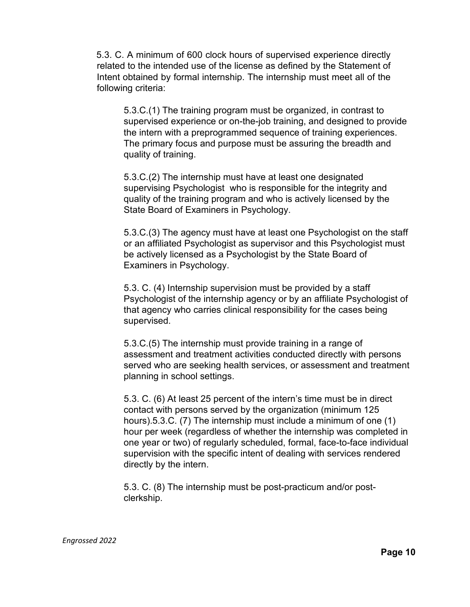5.3. C. A minimum of 600 clock hours of supervised experience directly related to the intended use of the license as defined by the Statement of Intent obtained by formal internship. The internship must meet all of the following criteria:

5.3.C.(1) The training program must be organized, in contrast to supervised experience or on-the-job training, and designed to provide the intern with a preprogrammed sequence of training experiences. The primary focus and purpose must be assuring the breadth and quality of training.

5.3.C.(2) The internship must have at least one designated supervising Psychologist who is responsible for the integrity and quality of the training program and who is actively licensed by the State Board of Examiners in Psychology.

5.3.C.(3) The agency must have at least one Psychologist on the staff or an affiliated Psychologist as supervisor and this Psychologist must be actively licensed as a Psychologist by the State Board of Examiners in Psychology.

5.3. C. (4) Internship supervision must be provided by a staff Psychologist of the internship agency or by an affiliate Psychologist of that agency who carries clinical responsibility for the cases being supervised.

5.3.C.(5) The internship must provide training in a range of assessment and treatment activities conducted directly with persons served who are seeking health services, or assessment and treatment planning in school settings.

5.3. C. (6) At least 25 percent of the intern's time must be in direct contact with persons served by the organization (minimum 125 hours).5.3.C. (7) The internship must include a minimum of one (1) hour per week (regardless of whether the internship was completed in one year or two) of regularly scheduled, formal, face-to-face individual supervision with the specific intent of dealing with services rendered directly by the intern.

5.3. C. (8) The internship must be post-practicum and/or postclerkship.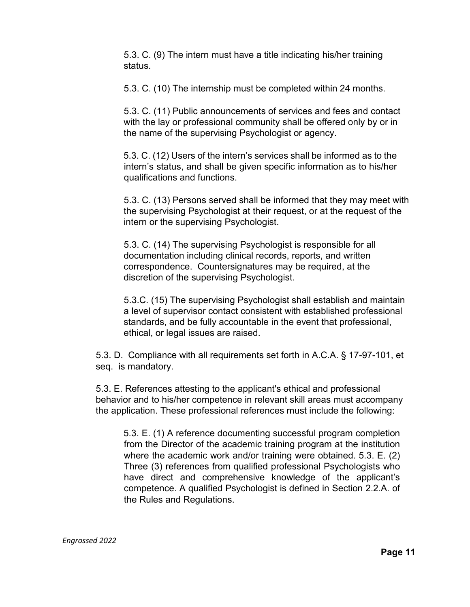5.3. C. (9) The intern must have a title indicating his/her training status.

5.3. C. (10) The internship must be completed within 24 months.

5.3. C. (11) Public announcements of services and fees and contact with the lay or professional community shall be offered only by or in the name of the supervising Psychologist or agency.

5.3. C. (12) Users of the intern's services shall be informed as to the intern's status, and shall be given specific information as to his/her qualifications and functions.

5.3. C. (13) Persons served shall be informed that they may meet with the supervising Psychologist at their request, or at the request of the intern or the supervising Psychologist.

5.3. C. (14) The supervising Psychologist is responsible for all documentation including clinical records, reports, and written correspondence. Countersignatures may be required, at the discretion of the supervising Psychologist.

5.3.C. (15) The supervising Psychologist shall establish and maintain a level of supervisor contact consistent with established professional standards, and be fully accountable in the event that professional, ethical, or legal issues are raised.

5.3. D. Compliance with all requirements set forth in A.C.A. § 17-97-101, et seq. is mandatory.

5.3. E. References attesting to the applicant's ethical and professional behavior and to his/her competence in relevant skill areas must accompany the application. These professional references must include the following:

5.3. E. (1) A reference documenting successful program completion from the Director of the academic training program at the institution where the academic work and/or training were obtained. 5.3. E. (2) Three (3) references from qualified professional Psychologists who have direct and comprehensive knowledge of the applicant's competence. A qualified Psychologist is defined in Section 2.2.A. of the Rules and Regulations.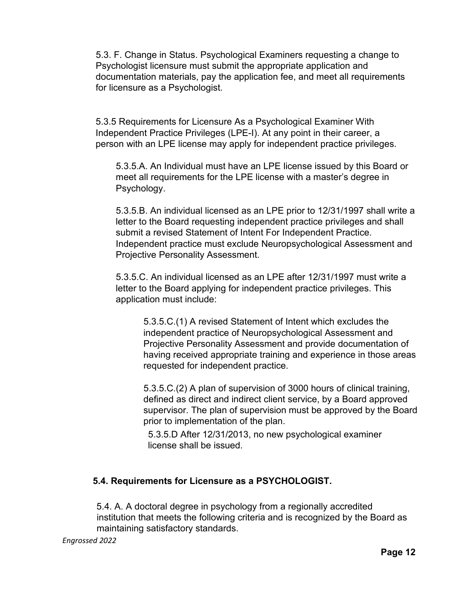5.3. F. Change in Status. Psychological Examiners requesting a change to Psychologist licensure must submit the appropriate application and documentation materials, pay the application fee, and meet all requirements for licensure as a Psychologist.

5.3.5 Requirements for Licensure As a Psychological Examiner With Independent Practice Privileges (LPE-I). At any point in their career, a person with an LPE license may apply for independent practice privileges.

5.3.5.A. An Individual must have an LPE license issued by this Board or meet all requirements for the LPE license with a master's degree in Psychology.

5.3.5.B. An individual licensed as an LPE prior to 12/31/1997 shall write a letter to the Board requesting independent practice privileges and shall submit a revised Statement of Intent For Independent Practice. Independent practice must exclude Neuropsychological Assessment and Projective Personality Assessment.

5.3.5.C. An individual licensed as an LPE after 12/31/1997 must write a letter to the Board applying for independent practice privileges. This application must include:

5.3.5.C.(1) A revised Statement of Intent which excludes the independent practice of Neuropsychological Assessment and Projective Personality Assessment and provide documentation of having received appropriate training and experience in those areas requested for independent practice.

5.3.5.C.(2) A plan of supervision of 3000 hours of clinical training, defined as direct and indirect client service, by a Board approved supervisor. The plan of supervision must be approved by the Board prior to implementation of the plan.

5.3.5.D After 12/31/2013, no new psychological examiner license shall be issued.

# **5.4. Requirements for Licensure as a PSYCHOLOGIST.**

5.4. A. A doctoral degree in psychology from a regionally accredited institution that meets the following criteria and is recognized by the Board as maintaining satisfactory standards.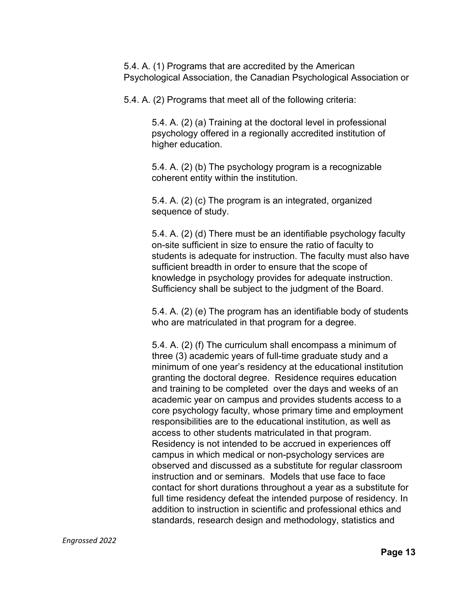5.4. A. (1) Programs that are accredited by the American Psychological Association, the Canadian Psychological Association or

5.4. A. (2) Programs that meet all of the following criteria:

5.4. A. (2) (a) Training at the doctoral level in professional psychology offered in a regionally accredited institution of higher education.

5.4. A. (2) (b) The psychology program is a recognizable coherent entity within the institution.

5.4. A. (2) (c) The program is an integrated, organized sequence of study.

5.4. A. (2) (d) There must be an identifiable psychology faculty on-site sufficient in size to ensure the ratio of faculty to students is adequate for instruction. The faculty must also have sufficient breadth in order to ensure that the scope of knowledge in psychology provides for adequate instruction. Sufficiency shall be subject to the judgment of the Board.

5.4. A. (2) (e) The program has an identifiable body of students who are matriculated in that program for a degree.

5.4. A. (2) (f) The curriculum shall encompass a minimum of three (3) academic years of full-time graduate study and a minimum of one year's residency at the educational institution granting the doctoral degree. Residence requires education and training to be completed over the days and weeks of an academic year on campus and provides students access to a core psychology faculty, whose primary time and employment responsibilities are to the educational institution, as well as access to other students matriculated in that program. Residency is not intended to be accrued in experiences off campus in which medical or non-psychology services are observed and discussed as a substitute for regular classroom instruction and or seminars. Models that use face to face contact for short durations throughout a year as a substitute for full time residency defeat the intended purpose of residency. In addition to instruction in scientific and professional ethics and standards, research design and methodology, statistics and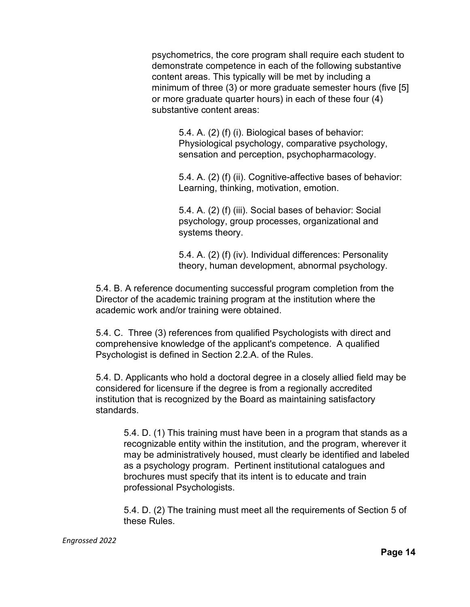psychometrics, the core program shall require each student to demonstrate competence in each of the following substantive content areas. This typically will be met by including a minimum of three (3) or more graduate semester hours (five [5] or more graduate quarter hours) in each of these four (4) substantive content areas:

> 5.4. A. (2) (f) (i). Biological bases of behavior: Physiological psychology, comparative psychology, sensation and perception, psychopharmacology.

5.4. A. (2) (f) (ii). Cognitive-affective bases of behavior: Learning, thinking, motivation, emotion.

5.4. A. (2) (f) (iii). Social bases of behavior: Social psychology, group processes, organizational and systems theory.

5.4. A. (2) (f) (iv). Individual differences: Personality theory, human development, abnormal psychology.

5.4. B. A reference documenting successful program completion from the Director of the academic training program at the institution where the academic work and/or training were obtained.

5.4. C. Three (3) references from qualified Psychologists with direct and comprehensive knowledge of the applicant's competence. A qualified Psychologist is defined in Section 2.2.A. of the Rules.

5.4. D. Applicants who hold a doctoral degree in a closely allied field may be considered for licensure if the degree is from a regionally accredited institution that is recognized by the Board as maintaining satisfactory standards.

5.4. D. (1) This training must have been in a program that stands as a recognizable entity within the institution, and the program, wherever it may be administratively housed, must clearly be identified and labeled as a psychology program. Pertinent institutional catalogues and brochures must specify that its intent is to educate and train professional Psychologists.

5.4. D. (2) The training must meet all the requirements of Section 5 of these Rules.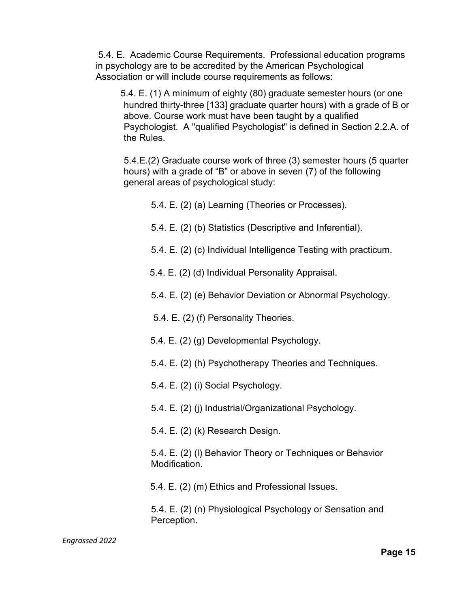5.4. E. Academic Course Requirements. Professional education programs in psychology are to be accredited by the American Psychological Association or will include course requirements as follows:

5.4. E. (1) A minimum of eighty (80) graduate semester hours (or one hundred thirty-three [133] graduate quarter hours) with a grade of B or above. Course work must have been taught by a qualified Psychologist. A "qualified Psychologist" is defined in Section 2.2.A. of the Rules.

5.4.E.(2) Graduate course work of three (3) semester hours (5 quarter hours) with a grade of "B" or above in seven (7) of the following general areas of psychological study:

5.4. E. (2) (a) Learning (Theories or Processes).

- 5.4. E. (2) (b) Statistics (Descriptive and Inferential).
- 5.4. E. (2) (c) Individual Intelligence Testing with practicum.
- 5.4. E. (2) (d) Individual Personality Appraisal.
- 5.4. E. (2) (e) Behavior Deviation or Abnormal Psychology.
- 5.4. E. (2) (f) Personality Theories.
- 5.4. E. (2) (g) Developmental Psychology.
- 5.4. E. (2) (h) Psychotherapy Theories and Techniques.
- 5.4. E. (2) (i) Social Psychology.
- 5.4. E. (2) (j) Industrial/Organizational Psychology.
- 5.4. E. (2) (k) Research Design.

5.4. E. (2) (l) Behavior Theory or Techniques or Behavior Modification.

5.4. E. (2) (m) Ethics and Professional Issues.

5.4. E. (2) (n) Physiological Psychology or Sensation and Perception.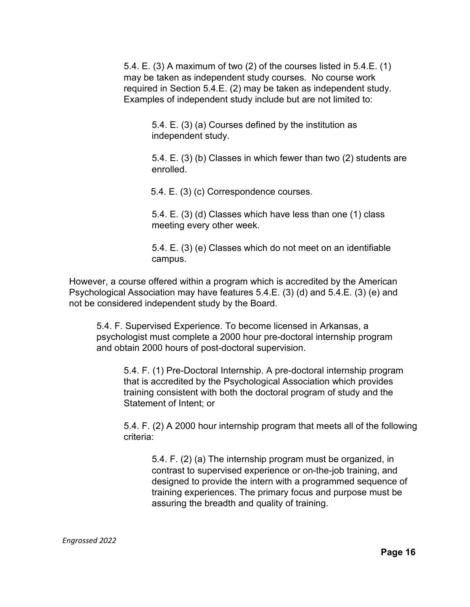5.4. E. (3) A maximum of two (2) of the courses listed in 5.4.E. (1) may be taken as independent study courses. No course work required in Section 5.4.E. (2) may be taken as independent study. Examples of independent study include but are not limited to:

> 5.4. E. (3) (a) Courses defined by the institution as independent study.

5.4. E. (3) (b) Classes in which fewer than two (2) students are enrolled.

5.4. E. (3) (c) Correspondence courses.

5.4. E. (3) (d) Classes which have less than one (1) class meeting every other week.

5.4. E. (3) (e) Classes which do not meet on an identifiable campus.

However, a course offered within a program which is accredited by the American Psychological Association may have features 5.4.E. (3) (d) and 5.4.E. (3) (e) and not be considered independent study by the Board.

5.4. F. Supervised Experience. To become licensed in Arkansas, a psychologist must complete a 2000 hour pre-doctoral internship program and obtain 2000 hours of post-doctoral supervision.

5.4. F. (1) Pre-Doctoral Internship. A pre-doctoral internship program that is accredited by the Psychological Association which provides training consistent with both the doctoral program of study and the Statement of Intent; or

5.4. F. (2) A 2000 hour internship program that meets all of the following criteria:

5.4. F. (2) (a) The internship program must be organized, in contrast to supervised experience or on-the-job training, and designed to provide the intern with a programmed sequence of training experiences. The primary focus and purpose must be assuring the breadth and quality of training.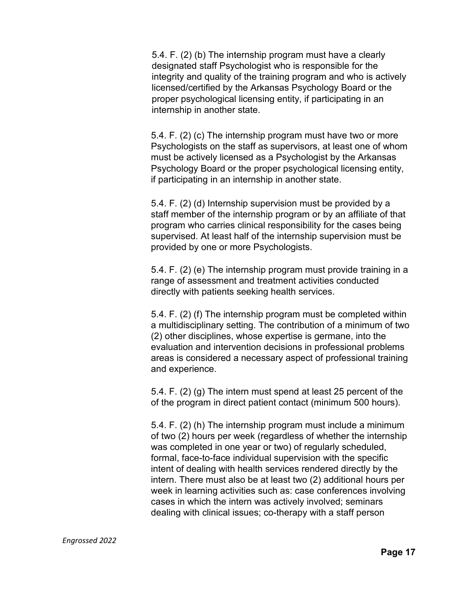5.4. F. (2) (b) The internship program must have a clearly designated staff Psychologist who is responsible for the integrity and quality of the training program and who is actively licensed/certified by the Arkansas Psychology Board or the proper psychological licensing entity, if participating in an internship in another state.

5.4. F. (2) (c) The internship program must have two or more Psychologists on the staff as supervisors, at least one of whom must be actively licensed as a Psychologist by the Arkansas Psychology Board or the proper psychological licensing entity, if participating in an internship in another state.

5.4. F. (2) (d) Internship supervision must be provided by a staff member of the internship program or by an affiliate of that program who carries clinical responsibility for the cases being supervised. At least half of the internship supervision must be provided by one or more Psychologists.

5.4. F. (2) (e) The internship program must provide training in a range of assessment and treatment activities conducted directly with patients seeking health services.

5.4. F. (2) (f) The internship program must be completed within a multidisciplinary setting. The contribution of a minimum of two (2) other disciplines, whose expertise is germane, into the evaluation and intervention decisions in professional problems areas is considered a necessary aspect of professional training and experience.

5.4. F. (2) (g) The intern must spend at least 25 percent of the of the program in direct patient contact (minimum 500 hours).

5.4. F. (2) (h) The internship program must include a minimum of two (2) hours per week (regardless of whether the internship was completed in one year or two) of regularly scheduled, formal, face-to-face individual supervision with the specific intent of dealing with health services rendered directly by the intern. There must also be at least two (2) additional hours per week in learning activities such as: case conferences involving cases in which the intern was actively involved; seminars dealing with clinical issues; co-therapy with a staff person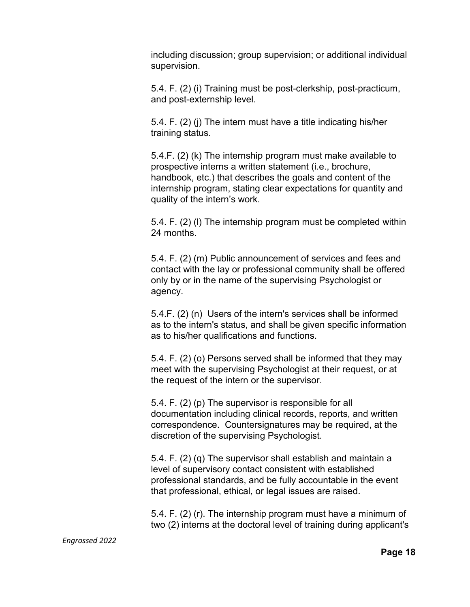including discussion; group supervision; or additional individual supervision.

5.4. F. (2) (i) Training must be post-clerkship, post-practicum, and post-externship level.

5.4. F. (2) (j) The intern must have a title indicating his/her training status.

5.4.F. (2) (k) The internship program must make available to prospective interns a written statement (i.e., brochure, handbook, etc.) that describes the goals and content of the internship program, stating clear expectations for quantity and quality of the intern's work.

5.4. F. (2) (l) The internship program must be completed within 24 months.

5.4. F. (2) (m) Public announcement of services and fees and contact with the lay or professional community shall be offered only by or in the name of the supervising Psychologist or agency.

5.4.F. (2) (n) Users of the intern's services shall be informed as to the intern's status, and shall be given specific information as to his/her qualifications and functions.

5.4. F. (2) (o) Persons served shall be informed that they may meet with the supervising Psychologist at their request, or at the request of the intern or the supervisor.

5.4. F. (2) (p) The supervisor is responsible for all documentation including clinical records, reports, and written correspondence. Countersignatures may be required, at the discretion of the supervising Psychologist.

5.4. F. (2) (q) The supervisor shall establish and maintain a level of supervisory contact consistent with established professional standards, and be fully accountable in the event that professional, ethical, or legal issues are raised.

5.4. F. (2) (r). The internship program must have a minimum of two (2) interns at the doctoral level of training during applicant's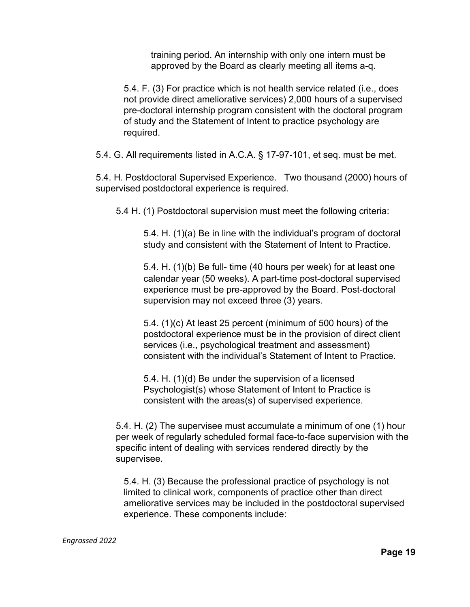training period. An internship with only one intern must be approved by the Board as clearly meeting all items a-q.

5.4. F. (3) For practice which is not health service related (i.e., does not provide direct ameliorative services) 2,000 hours of a supervised pre-doctoral internship program consistent with the doctoral program of study and the Statement of Intent to practice psychology are required.

5.4. G. All requirements listed in A.C.A. § 17-97-101, et seq. must be met.

5.4. H. Postdoctoral Supervised Experience. Two thousand (2000) hours of supervised postdoctoral experience is required.

5.4 H. (1) Postdoctoral supervision must meet the following criteria:

5.4. H. (1)(a) Be in line with the individual's program of doctoral study and consistent with the Statement of Intent to Practice.

5.4. H. (1)(b) Be full- time (40 hours per week) for at least one calendar year (50 weeks). A part-time post-doctoral supervised experience must be pre-approved by the Board. Post-doctoral supervision may not exceed three (3) years.

5.4. (1)(c) At least 25 percent (minimum of 500 hours) of the postdoctoral experience must be in the provision of direct client services (i.e., psychological treatment and assessment) consistent with the individual's Statement of Intent to Practice.

5.4. H. (1)(d) Be under the supervision of a licensed Psychologist(s) whose Statement of Intent to Practice is consistent with the areas(s) of supervised experience.

5.4. H. (2) The supervisee must accumulate a minimum of one (1) hour per week of regularly scheduled formal face-to-face supervision with the specific intent of dealing with services rendered directly by the supervisee.

5.4. H. (3) Because the professional practice of psychology is not limited to clinical work, components of practice other than direct ameliorative services may be included in the postdoctoral supervised experience. These components include: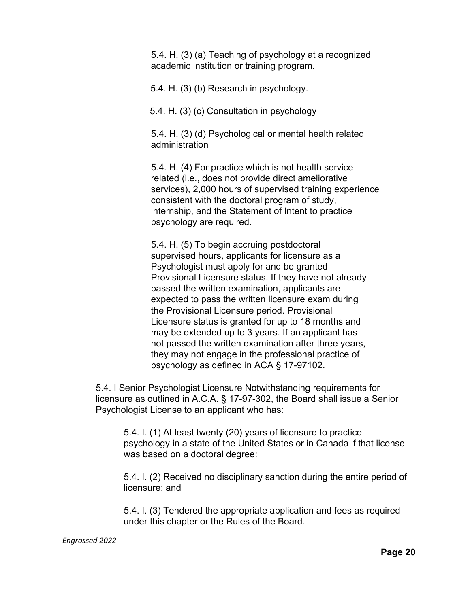5.4. H. (3) (a) Teaching of psychology at a recognized academic institution or training program.

5.4. H. (3) (b) Research in psychology.

5.4. H. (3) (c) Consultation in psychology

5.4. H. (3) (d) Psychological or mental health related administration

5.4. H. (4) For practice which is not health service related (i.e., does not provide direct ameliorative services), 2,000 hours of supervised training experience consistent with the doctoral program of study, internship, and the Statement of Intent to practice psychology are required.

5.4. H. (5) To begin accruing postdoctoral supervised hours, applicants for licensure as a Psychologist must apply for and be granted Provisional Licensure status. If they have not already passed the written examination, applicants are expected to pass the written licensure exam during the Provisional Licensure period. Provisional Licensure status is granted for up to 18 months and may be extended up to 3 years. If an applicant has not passed the written examination after three years, they may not engage in the professional practice of psychology as defined in ACA § 17-97102.

5.4. I Senior Psychologist Licensure Notwithstanding requirements for licensure as outlined in A.C.A. § 17-97-302, the Board shall issue a Senior Psychologist License to an applicant who has:

5.4. I. (1) At least twenty (20) years of licensure to practice psychology in a state of the United States or in Canada if that license was based on a doctoral degree:

5.4. I. (2) Received no disciplinary sanction during the entire period of licensure; and

5.4. I. (3) Tendered the appropriate application and fees as required under this chapter or the Rules of the Board.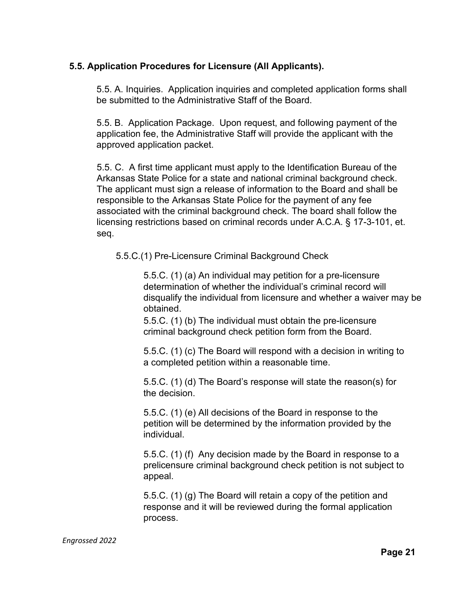## **5.5. Application Procedures for Licensure (All Applicants).**

5.5. A. Inquiries. Application inquiries and completed application forms shall be submitted to the Administrative Staff of the Board.

5.5. B. Application Package. Upon request, and following payment of the application fee, the Administrative Staff will provide the applicant with the approved application packet.

5.5. C. A first time applicant must apply to the Identification Bureau of the Arkansas State Police for a state and national criminal background check. The applicant must sign a release of information to the Board and shall be responsible to the Arkansas State Police for the payment of any fee associated with the criminal background check. The board shall follow the licensing restrictions based on criminal records under A.C.A. § 17-3-101, et. seq.

5.5.C.(1) Pre-Licensure Criminal Background Check

5.5.C. (1) (a) An individual may petition for a pre-licensure determination of whether the individual's criminal record will disqualify the individual from licensure and whether a waiver may be obtained.

5.5.C. (1) (b) The individual must obtain the pre-licensure criminal background check petition form from the Board.

5.5.C. (1) (c) The Board will respond with a decision in writing to a completed petition within a reasonable time.

5.5.C. (1) (d) The Board's response will state the reason(s) for the decision.

5.5.C. (1) (e) All decisions of the Board in response to the petition will be determined by the information provided by the individual.

5.5.C. (1) (f) Any decision made by the Board in response to a prelicensure criminal background check petition is not subject to appeal.

5.5.C. (1) (g) The Board will retain a copy of the petition and response and it will be reviewed during the formal application process.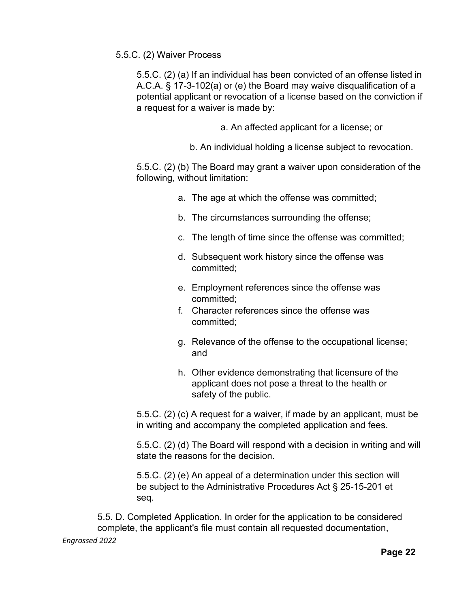#### 5.5.C. (2) Waiver Process

5.5.C. (2) (a) If an individual has been convicted of an offense listed in A.C.A. § 17-3-102(a) or (e) the Board may waive disqualification of a potential applicant or revocation of a license based on the conviction if a request for a waiver is made by:

a. An affected applicant for a license; or

b. An individual holding a license subject to revocation.

5.5.C. (2) (b) The Board may grant a waiver upon consideration of the following, without limitation:

- a. The age at which the offense was committed;
- b. The circumstances surrounding the offense;
- c. The length of time since the offense was committed;
- d. Subsequent work history since the offense was committed;
- e. Employment references since the offense was committed;
- f. Character references since the offense was committed;
- g. Relevance of the offense to the occupational license; and
- h. Other evidence demonstrating that licensure of the applicant does not pose a threat to the health or safety of the public.

5.5.C. (2) (c) A request for a waiver, if made by an applicant, must be in writing and accompany the completed application and fees.

5.5.C. (2) (d) The Board will respond with a decision in writing and will state the reasons for the decision.

5.5.C. (2) (e) An appeal of a determination under this section will be subject to the Administrative Procedures Act § 25-15-201 et seq*.*

*Engrossed 2022* 5.5. D. Completed Application. In order for the application to be considered complete, the applicant's file must contain all requested documentation,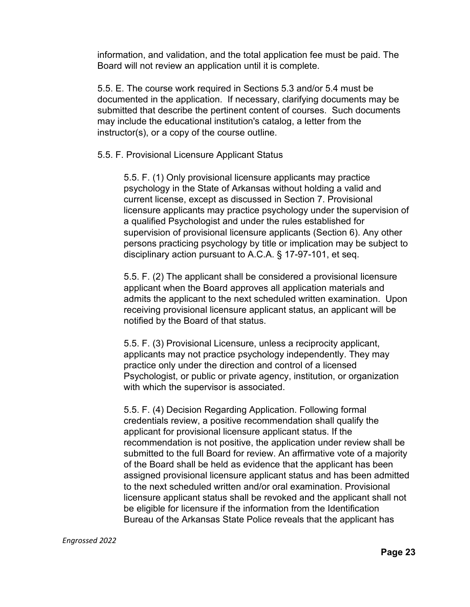information, and validation, and the total application fee must be paid. The Board will not review an application until it is complete.

5.5. E. The course work required in Sections 5.3 and/or 5.4 must be documented in the application. If necessary, clarifying documents may be submitted that describe the pertinent content of courses. Such documents may include the educational institution's catalog, a letter from the instructor(s), or a copy of the course outline.

5.5. F. Provisional Licensure Applicant Status

5.5. F. (1) Only provisional licensure applicants may practice psychology in the State of Arkansas without holding a valid and current license, except as discussed in Section 7. Provisional licensure applicants may practice psychology under the supervision of a qualified Psychologist and under the rules established for supervision of provisional licensure applicants (Section 6). Any other persons practicing psychology by title or implication may be subject to disciplinary action pursuant to A.C.A. § 17-97-101, et seq.

5.5. F. (2) The applicant shall be considered a provisional licensure applicant when the Board approves all application materials and admits the applicant to the next scheduled written examination. Upon receiving provisional licensure applicant status, an applicant will be notified by the Board of that status.

5.5. F. (3) Provisional Licensure, unless a reciprocity applicant, applicants may not practice psychology independently. They may practice only under the direction and control of a licensed Psychologist, or public or private agency, institution, or organization with which the supervisor is associated.

5.5. F. (4) Decision Regarding Application. Following formal credentials review, a positive recommendation shall qualify the applicant for provisional licensure applicant status. If the recommendation is not positive, the application under review shall be submitted to the full Board for review. An affirmative vote of a majority of the Board shall be held as evidence that the applicant has been assigned provisional licensure applicant status and has been admitted to the next scheduled written and/or oral examination. Provisional licensure applicant status shall be revoked and the applicant shall not be eligible for licensure if the information from the Identification Bureau of the Arkansas State Police reveals that the applicant has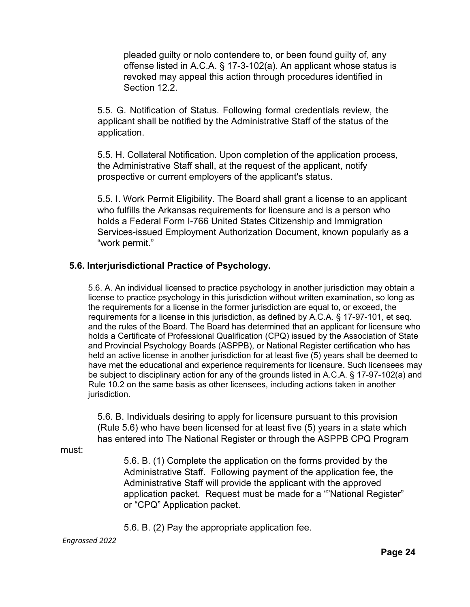pleaded guilty or nolo contendere to, or been found guilty of, any offense listed in A.C.A. § 17-3-102(a). An applicant whose status is revoked may appeal this action through procedures identified in Section 12.2.

5.5. G. Notification of Status. Following formal credentials review, the applicant shall be notified by the Administrative Staff of the status of the application.

5.5. H. Collateral Notification. Upon completion of the application process, the Administrative Staff shall, at the request of the applicant, notify prospective or current employers of the applicant's status.

5.5. I. Work Permit Eligibility. The Board shall grant a license to an applicant who fulfills the Arkansas requirements for licensure and is a person who holds a Federal Form I-766 United States Citizenship and Immigration Services-issued Employment Authorization Document, known popularly as a "work permit."

## **5.6. Interjurisdictional Practice of Psychology.**

5.6. A. An individual licensed to practice psychology in another jurisdiction may obtain a license to practice psychology in this jurisdiction without written examination, so long as the requirements for a license in the former jurisdiction are equal to, or exceed, the requirements for a license in this jurisdiction, as defined by A.C.A. § 17-97-101, et seq. and the rules of the Board. The Board has determined that an applicant for licensure who holds a Certificate of Professional Qualification (CPQ) issued by the Association of State and Provincial Psychology Boards (ASPPB), or National Register certification who has held an active license in another jurisdiction for at least five (5) years shall be deemed to have met the educational and experience requirements for licensure. Such licensees may be subject to disciplinary action for any of the grounds listed in A.C.A. § 17-97-102(a) and Rule 10.2 on the same basis as other licensees, including actions taken in another jurisdiction.

5.6. B. Individuals desiring to apply for licensure pursuant to this provision (Rule 5.6) who have been licensed for at least five (5) years in a state which has entered into The National Register or through the ASPPB CPQ Program

must:

5.6. B. (1) Complete the application on the forms provided by the Administrative Staff. Following payment of the application fee, the Administrative Staff will provide the applicant with the approved application packet. Request must be made for a ""National Register" or "CPQ" Application packet.

5.6. B. (2) Pay the appropriate application fee.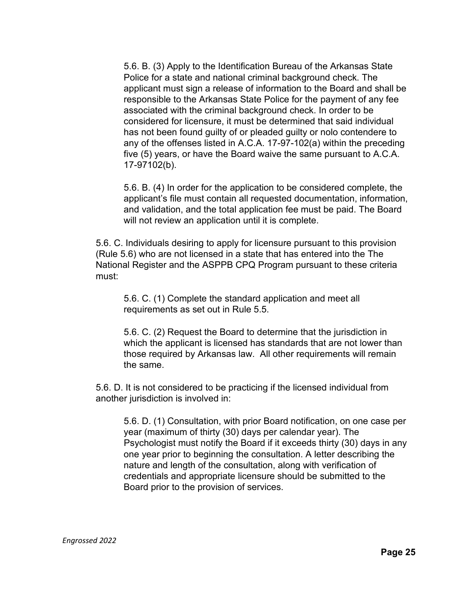5.6. B. (3) Apply to the Identification Bureau of the Arkansas State Police for a state and national criminal background check. The applicant must sign a release of information to the Board and shall be responsible to the Arkansas State Police for the payment of any fee associated with the criminal background check. In order to be considered for licensure, it must be determined that said individual has not been found guilty of or pleaded guilty or nolo contendere to any of the offenses listed in A.C.A. 17-97-102(a) within the preceding five (5) years, or have the Board waive the same pursuant to A.C.A. 17-97102(b).

5.6. B. (4) In order for the application to be considered complete, the applicant's file must contain all requested documentation, information, and validation, and the total application fee must be paid. The Board will not review an application until it is complete.

5.6. C. Individuals desiring to apply for licensure pursuant to this provision (Rule 5.6) who are not licensed in a state that has entered into the The National Register and the ASPPB CPQ Program pursuant to these criteria must:

5.6. C. (1) Complete the standard application and meet all requirements as set out in Rule 5.5.

5.6. C. (2) Request the Board to determine that the jurisdiction in which the applicant is licensed has standards that are not lower than those required by Arkansas law. All other requirements will remain the same.

5.6. D. It is not considered to be practicing if the licensed individual from another jurisdiction is involved in:

5.6. D. (1) Consultation, with prior Board notification, on one case per year (maximum of thirty (30) days per calendar year). The Psychologist must notify the Board if it exceeds thirty (30) days in any one year prior to beginning the consultation. A letter describing the nature and length of the consultation, along with verification of credentials and appropriate licensure should be submitted to the Board prior to the provision of services.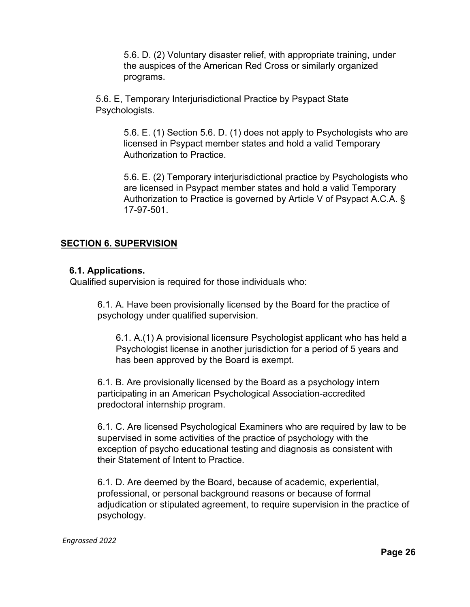5.6. D. (2) Voluntary disaster relief, with appropriate training, under the auspices of the American Red Cross or similarly organized programs.

5.6. E, Temporary Interjurisdictional Practice by Psypact State Psychologists.

> 5.6. E. (1) Section 5.6. D. (1) does not apply to Psychologists who are licensed in Psypact member states and hold a valid Temporary Authorization to Practice.

> 5.6. E. (2) Temporary interjurisdictional practice by Psychologists who are licensed in Psypact member states and hold a valid Temporary Authorization to Practice is governed by Article V of Psypact A.C.A. § 17-97-501.

# **SECTION 6. SUPERVISION**

## **6.1. Applications.**

Qualified supervision is required for those individuals who:

6.1. A. Have been provisionally licensed by the Board for the practice of psychology under qualified supervision.

6.1. A.(1) A provisional licensure Psychologist applicant who has held a Psychologist license in another jurisdiction for a period of 5 years and has been approved by the Board is exempt.

6.1. B. Are provisionally licensed by the Board as a psychology intern participating in an American Psychological Association-accredited predoctoral internship program.

6.1. C. Are licensed Psychological Examiners who are required by law to be supervised in some activities of the practice of psychology with the exception of psycho educational testing and diagnosis as consistent with their Statement of Intent to Practice.

6.1. D. Are deemed by the Board, because of academic, experiential, professional, or personal background reasons or because of formal adjudication or stipulated agreement, to require supervision in the practice of psychology.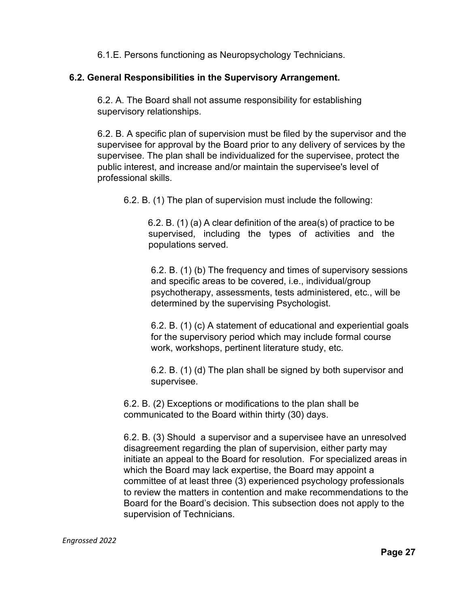6.1.E. Persons functioning as Neuropsychology Technicians.

## **6.2. General Responsibilities in the Supervisory Arrangement.**

6.2. A. The Board shall not assume responsibility for establishing supervisory relationships.

6.2. B. A specific plan of supervision must be filed by the supervisor and the supervisee for approval by the Board prior to any delivery of services by the supervisee. The plan shall be individualized for the supervisee, protect the public interest, and increase and/or maintain the supervisee's level of professional skills.

6.2. B. (1) The plan of supervision must include the following:

6.2. B. (1) (a) A clear definition of the area(s) of practice to be supervised, including the types of activities and the populations served.

6.2. B. (1) (b) The frequency and times of supervisory sessions and specific areas to be covered, i.e., individual/group psychotherapy, assessments, tests administered, etc., will be determined by the supervising Psychologist.

6.2. B. (1) (c) A statement of educational and experiential goals for the supervisory period which may include formal course work, workshops, pertinent literature study, etc.

6.2. B. (1) (d) The plan shall be signed by both supervisor and supervisee.

6.2. B. (2) Exceptions or modifications to the plan shall be communicated to the Board within thirty (30) days.

6.2. B. (3) Should a supervisor and a supervisee have an unresolved disagreement regarding the plan of supervision, either party may initiate an appeal to the Board for resolution. For specialized areas in which the Board may lack expertise, the Board may appoint a committee of at least three (3) experienced psychology professionals to review the matters in contention and make recommendations to the Board for the Board's decision. This subsection does not apply to the supervision of Technicians.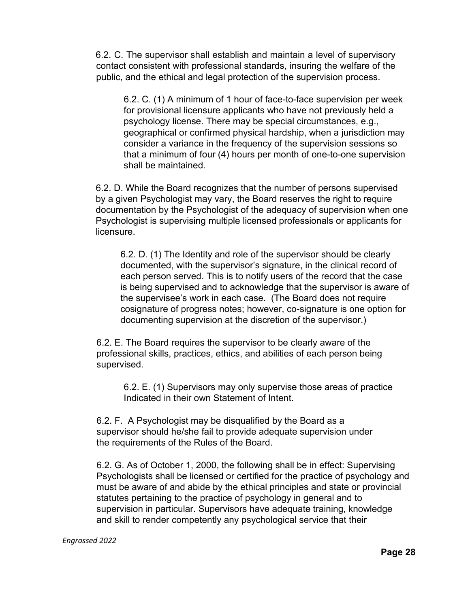6.2. C. The supervisor shall establish and maintain a level of supervisory contact consistent with professional standards, insuring the welfare of the public, and the ethical and legal protection of the supervision process.

6.2. C. (1) A minimum of 1 hour of face-to-face supervision per week for provisional licensure applicants who have not previously held a psychology license. There may be special circumstances, e.g., geographical or confirmed physical hardship, when a jurisdiction may consider a variance in the frequency of the supervision sessions so that a minimum of four (4) hours per month of one-to-one supervision shall be maintained.

6.2. D. While the Board recognizes that the number of persons supervised by a given Psychologist may vary, the Board reserves the right to require documentation by the Psychologist of the adequacy of supervision when one Psychologist is supervising multiple licensed professionals or applicants for licensure.

6.2. D. (1) The Identity and role of the supervisor should be clearly documented, with the supervisor's signature, in the clinical record of each person served. This is to notify users of the record that the case is being supervised and to acknowledge that the supervisor is aware of the supervisee's work in each case. (The Board does not require cosignature of progress notes; however, co-signature is one option for documenting supervision at the discretion of the supervisor.)

6.2. E. The Board requires the supervisor to be clearly aware of the professional skills, practices, ethics, and abilities of each person being supervised.

6.2. E. (1) Supervisors may only supervise those areas of practice Indicated in their own Statement of Intent.

6.2. F. A Psychologist may be disqualified by the Board as a supervisor should he/she fail to provide adequate supervision under the requirements of the Rules of the Board.

6.2. G. As of October 1, 2000, the following shall be in effect: Supervising Psychologists shall be licensed or certified for the practice of psychology and must be aware of and abide by the ethical principles and state or provincial statutes pertaining to the practice of psychology in general and to supervision in particular. Supervisors have adequate training, knowledge and skill to render competently any psychological service that their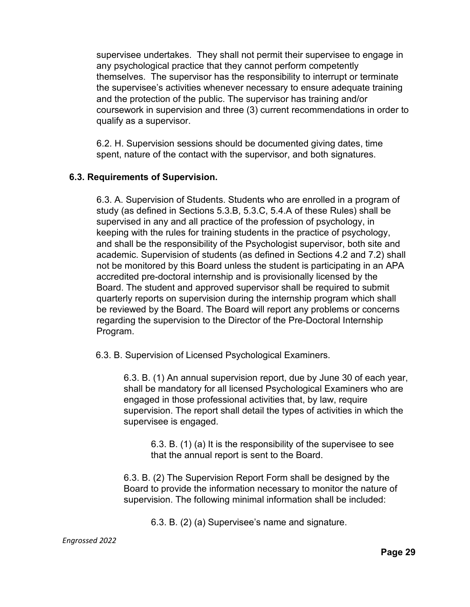supervisee undertakes. They shall not permit their supervisee to engage in any psychological practice that they cannot perform competently themselves. The supervisor has the responsibility to interrupt or terminate the supervisee's activities whenever necessary to ensure adequate training and the protection of the public. The supervisor has training and/or coursework in supervision and three (3) current recommendations in order to qualify as a supervisor.

6.2. H. Supervision sessions should be documented giving dates, time spent, nature of the contact with the supervisor, and both signatures.

## **6.3. Requirements of Supervision.**

6.3. A. Supervision of Students. Students who are enrolled in a program of study (as defined in Sections 5.3.B, 5.3.C, 5.4.A of these Rules) shall be supervised in any and all practice of the profession of psychology, in keeping with the rules for training students in the practice of psychology, and shall be the responsibility of the Psychologist supervisor, both site and academic. Supervision of students (as defined in Sections 4.2 and 7.2) shall not be monitored by this Board unless the student is participating in an APA accredited pre-doctoral internship and is provisionally licensed by the Board. The student and approved supervisor shall be required to submit quarterly reports on supervision during the internship program which shall be reviewed by the Board. The Board will report any problems or concerns regarding the supervision to the Director of the Pre-Doctoral Internship Program.

6.3. B. Supervision of Licensed Psychological Examiners.

6.3. B. (1) An annual supervision report, due by June 30 of each year, shall be mandatory for all licensed Psychological Examiners who are engaged in those professional activities that, by law, require supervision. The report shall detail the types of activities in which the supervisee is engaged.

6.3. B. (1) (a) It is the responsibility of the supervisee to see that the annual report is sent to the Board.

6.3. B. (2) The Supervision Report Form shall be designed by the Board to provide the information necessary to monitor the nature of supervision. The following minimal information shall be included:

6.3. B. (2) (a) Supervisee's name and signature.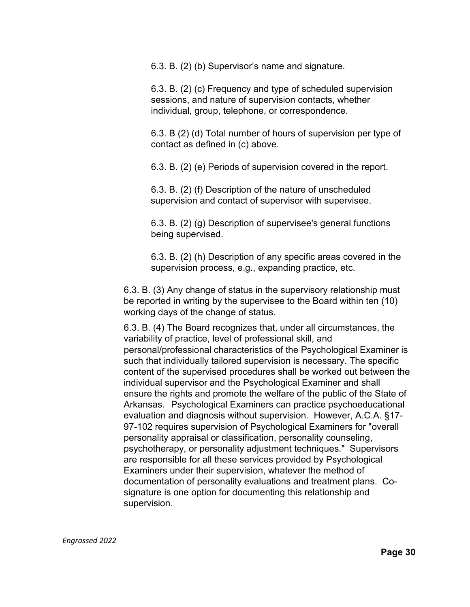6.3. B. (2) (b) Supervisor's name and signature.

6.3. B. (2) (c) Frequency and type of scheduled supervision sessions, and nature of supervision contacts, whether individual, group, telephone, or correspondence.

6.3. B (2) (d) Total number of hours of supervision per type of contact as defined in (c) above.

6.3. B. (2) (e) Periods of supervision covered in the report.

6.3. B. (2) (f) Description of the nature of unscheduled supervision and contact of supervisor with supervisee.

6.3. B. (2) (g) Description of supervisee's general functions being supervised.

6.3. B. (2) (h) Description of any specific areas covered in the supervision process, e.g., expanding practice, etc.

6.3. B. (3) Any change of status in the supervisory relationship must be reported in writing by the supervisee to the Board within ten (10) working days of the change of status.

6.3. B. (4) The Board recognizes that, under all circumstances, the variability of practice, level of professional skill, and personal/professional characteristics of the Psychological Examiner is such that individually tailored supervision is necessary. The specific content of the supervised procedures shall be worked out between the individual supervisor and the Psychological Examiner and shall ensure the rights and promote the welfare of the public of the State of Arkansas. Psychological Examiners can practice psychoeducational evaluation and diagnosis without supervision. However, A.C.A. §17- 97-102 requires supervision of Psychological Examiners for "overall personality appraisal or classification, personality counseling, psychotherapy, or personality adjustment techniques." Supervisors are responsible for all these services provided by Psychological Examiners under their supervision, whatever the method of documentation of personality evaluations and treatment plans. Cosignature is one option for documenting this relationship and supervision.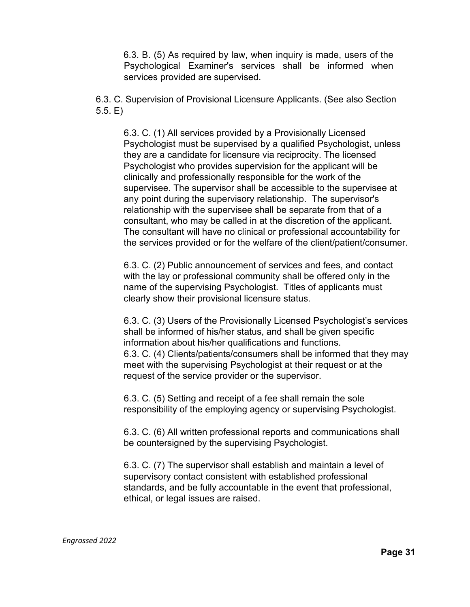6.3. B. (5) As required by law, when inquiry is made, users of the Psychological Examiner's services shall be informed when services provided are supervised.

6.3. C. Supervision of Provisional Licensure Applicants. (See also Section 5.5. E)

6.3. C. (1) All services provided by a Provisionally Licensed Psychologist must be supervised by a qualified Psychologist, unless they are a candidate for licensure via reciprocity. The licensed Psychologist who provides supervision for the applicant will be clinically and professionally responsible for the work of the supervisee. The supervisor shall be accessible to the supervisee at any point during the supervisory relationship. The supervisor's relationship with the supervisee shall be separate from that of a consultant, who may be called in at the discretion of the applicant. The consultant will have no clinical or professional accountability for the services provided or for the welfare of the client/patient/consumer.

6.3. C. (2) Public announcement of services and fees, and contact with the lay or professional community shall be offered only in the name of the supervising Psychologist. Titles of applicants must clearly show their provisional licensure status.

6.3. C. (3) Users of the Provisionally Licensed Psychologist's services shall be informed of his/her status, and shall be given specific information about his/her qualifications and functions. 6.3. C. (4) Clients/patients/consumers shall be informed that they may meet with the supervising Psychologist at their request or at the request of the service provider or the supervisor.

6.3. C. (5) Setting and receipt of a fee shall remain the sole responsibility of the employing agency or supervising Psychologist.

6.3. C. (6) All written professional reports and communications shall be countersigned by the supervising Psychologist.

6.3. C. (7) The supervisor shall establish and maintain a level of supervisory contact consistent with established professional standards, and be fully accountable in the event that professional, ethical, or legal issues are raised.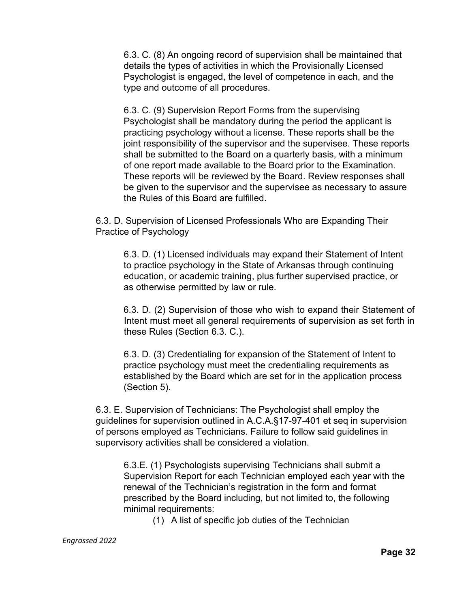6.3. C. (8) An ongoing record of supervision shall be maintained that details the types of activities in which the Provisionally Licensed Psychologist is engaged, the level of competence in each, and the type and outcome of all procedures.

6.3. C. (9) Supervision Report Forms from the supervising Psychologist shall be mandatory during the period the applicant is practicing psychology without a license. These reports shall be the joint responsibility of the supervisor and the supervisee. These reports shall be submitted to the Board on a quarterly basis, with a minimum of one report made available to the Board prior to the Examination. These reports will be reviewed by the Board. Review responses shall be given to the supervisor and the supervisee as necessary to assure the Rules of this Board are fulfilled.

6.3. D. Supervision of Licensed Professionals Who are Expanding Their Practice of Psychology

6.3. D. (1) Licensed individuals may expand their Statement of Intent to practice psychology in the State of Arkansas through continuing education, or academic training, plus further supervised practice, or as otherwise permitted by law or rule.

6.3. D. (2) Supervision of those who wish to expand their Statement of Intent must meet all general requirements of supervision as set forth in these Rules (Section 6.3. C.).

6.3. D. (3) Credentialing for expansion of the Statement of Intent to practice psychology must meet the credentialing requirements as established by the Board which are set for in the application process (Section 5).

6.3. E. Supervision of Technicians: The Psychologist shall employ the guidelines for supervision outlined in A.C.A.§17-97-401 et seq in supervision of persons employed as Technicians. Failure to follow said guidelines in supervisory activities shall be considered a violation.

6.3.E. (1) Psychologists supervising Technicians shall submit a Supervision Report for each Technician employed each year with the renewal of the Technician's registration in the form and format prescribed by the Board including, but not limited to, the following minimal requirements:

(1) A list of specific job duties of the Technician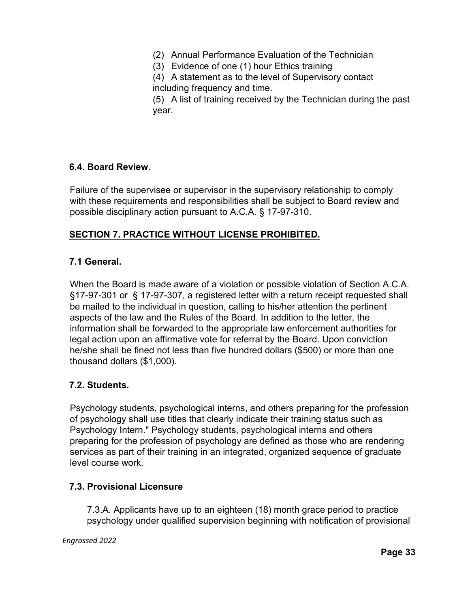- (2) Annual Performance Evaluation of the Technician
- (3) Evidence of one (1) hour Ethics training

(4) A statement as to the level of Supervisory contact including frequency and time.

(5) A list of training received by the Technician during the past year.

## **6.4. Board Review.**

Failure of the supervisee or supervisor in the supervisory relationship to comply with these requirements and responsibilities shall be subject to Board review and possible disciplinary action pursuant to A.C.A. § 17-97-310.

## **SECTION 7. PRACTICE WITHOUT LICENSE PROHIBITED.**

## **7.1 General.**

When the Board is made aware of a violation or possible violation of Section A.C.A. §17-97-301 or § 17-97-307, a registered letter with a return receipt requested shall be mailed to the individual in question, calling to his/her attention the pertinent aspects of the law and the Rules of the Board. In addition to the letter, the information shall be forwarded to the appropriate law enforcement authorities for legal action upon an affirmative vote for referral by the Board. Upon conviction he/she shall be fined not less than five hundred dollars (\$500) or more than one thousand dollars (\$1,000).

### **7.2. Students.**

Psychology students, psychological interns, and others preparing for the profession of psychology shall use titles that clearly indicate their training status such as Psychology Intern." Psychology students, psychological interns and others preparing for the profession of psychology are defined as those who are rendering services as part of their training in an integrated, organized sequence of graduate level course work.

### **7.3. Provisional Licensure**

7.3.A. Applicants have up to an eighteen (18) month grace period to practice psychology under qualified supervision beginning with notification of provisional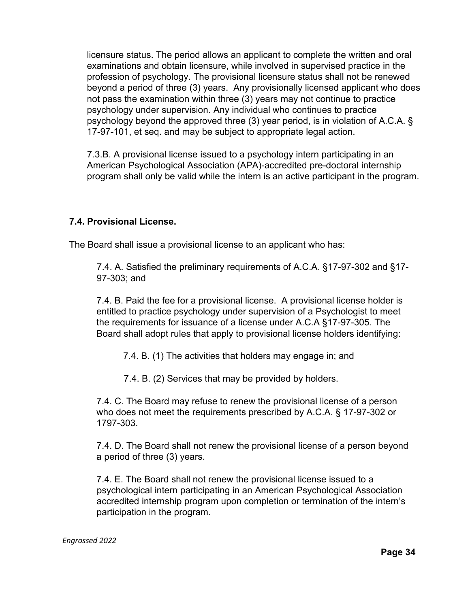licensure status. The period allows an applicant to complete the written and oral examinations and obtain licensure, while involved in supervised practice in the profession of psychology. The provisional licensure status shall not be renewed beyond a period of three (3) years. Any provisionally licensed applicant who does not pass the examination within three (3) years may not continue to practice psychology under supervision. Any individual who continues to practice psychology beyond the approved three (3) year period, is in violation of A.C.A. § 17-97-101, et seq. and may be subject to appropriate legal action.

7.3.B. A provisional license issued to a psychology intern participating in an American Psychological Association (APA)-accredited pre-doctoral internship program shall only be valid while the intern is an active participant in the program.

## **7.4. Provisional License.**

The Board shall issue a provisional license to an applicant who has:

7.4. A. Satisfied the preliminary requirements of A.C.A. §17-97-302 and §17- 97-303; and

7.4. B. Paid the fee for a provisional license. A provisional license holder is entitled to practice psychology under supervision of a Psychologist to meet the requirements for issuance of a license under A.C.A §17-97-305. The Board shall adopt rules that apply to provisional license holders identifying:

7.4. B. (1) The activities that holders may engage in; and

7.4. B. (2) Services that may be provided by holders.

7.4. C. The Board may refuse to renew the provisional license of a person who does not meet the requirements prescribed by A.C.A. § 17-97-302 or 1797-303.

7.4. D. The Board shall not renew the provisional license of a person beyond a period of three (3) years.

7.4. E. The Board shall not renew the provisional license issued to a psychological intern participating in an American Psychological Association accredited internship program upon completion or termination of the intern's participation in the program.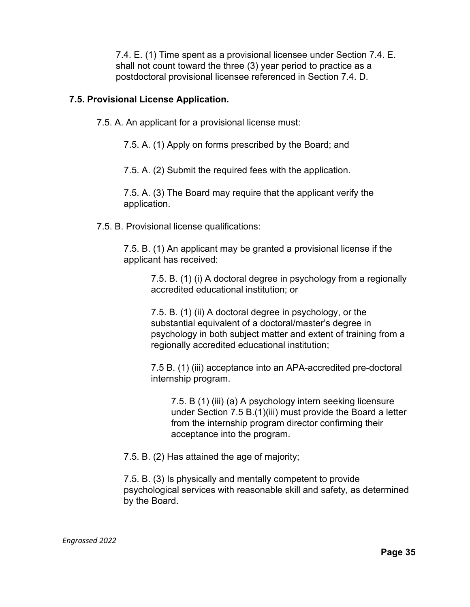7.4. E. (1) Time spent as a provisional licensee under Section 7.4. E. shall not count toward the three (3) year period to practice as a postdoctoral provisional licensee referenced in Section 7.4. D.

### **7.5. Provisional License Application.**

7.5. A. An applicant for a provisional license must:

7.5. A. (1) Apply on forms prescribed by the Board; and

7.5. A. (2) Submit the required fees with the application.

7.5. A. (3) The Board may require that the applicant verify the application.

7.5. B. Provisional license qualifications:

7.5. B. (1) An applicant may be granted a provisional license if the applicant has received:

7.5. B. (1) (i) A doctoral degree in psychology from a regionally accredited educational institution; or

7.5. B. (1) (ii) A doctoral degree in psychology, or the substantial equivalent of a doctoral/master's degree in psychology in both subject matter and extent of training from a regionally accredited educational institution;

7.5 B. (1) (iii) acceptance into an APA-accredited pre-doctoral internship program.

7.5. B (1) (iii) (a) A psychology intern seeking licensure under Section 7.5 B.(1)(iii) must provide the Board a letter from the internship program director confirming their acceptance into the program.

7.5. B. (2) Has attained the age of majority;

7.5. B. (3) Is physically and mentally competent to provide psychological services with reasonable skill and safety, as determined by the Board.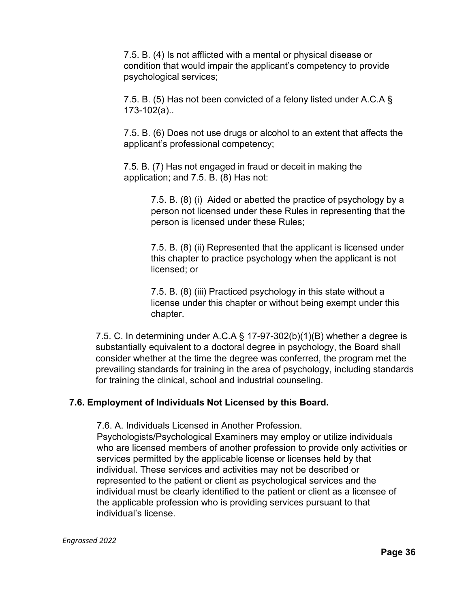7.5. B. (4) Is not afflicted with a mental or physical disease or condition that would impair the applicant's competency to provide psychological services;

7.5. B. (5) Has not been convicted of a felony listed under A.C.A § 173-102(a)..

7.5. B. (6) Does not use drugs or alcohol to an extent that affects the applicant's professional competency;

7.5. B. (7) Has not engaged in fraud or deceit in making the application; and 7.5. B. (8) Has not:

> 7.5. B. (8) (i) Aided or abetted the practice of psychology by a person not licensed under these Rules in representing that the person is licensed under these Rules;

> 7.5. B. (8) (ii) Represented that the applicant is licensed under this chapter to practice psychology when the applicant is not licensed; or

7.5. B. (8) (iii) Practiced psychology in this state without a license under this chapter or without being exempt under this chapter.

7.5. C. In determining under A.C.A § 17-97-302(b)(1)(B) whether a degree is substantially equivalent to a doctoral degree in psychology, the Board shall consider whether at the time the degree was conferred, the program met the prevailing standards for training in the area of psychology, including standards for training the clinical, school and industrial counseling.

## **7.6. Employment of Individuals Not Licensed by this Board.**

7.6. A. Individuals Licensed in Another Profession.

Psychologists/Psychological Examiners may employ or utilize individuals who are licensed members of another profession to provide only activities or services permitted by the applicable license or licenses held by that individual. These services and activities may not be described or represented to the patient or client as psychological services and the individual must be clearly identified to the patient or client as a licensee of the applicable profession who is providing services pursuant to that individual's license.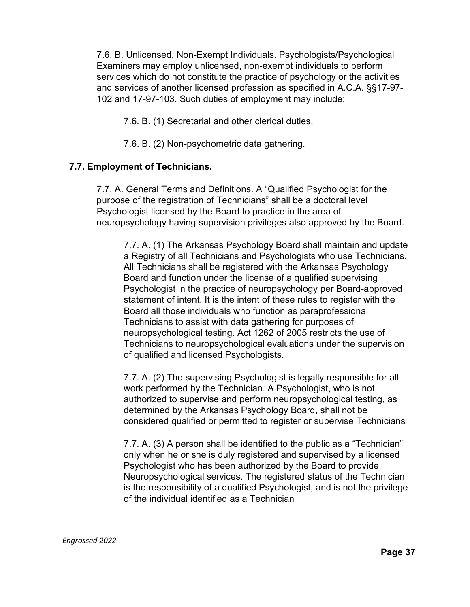7.6. B. Unlicensed, Non-Exempt Individuals. Psychologists/Psychological Examiners may employ unlicensed, non-exempt individuals to perform services which do not constitute the practice of psychology or the activities and services of another licensed profession as specified in A.C.A. §§17-97- 102 and 17-97-103. Such duties of employment may include:

7.6. B. (1) Secretarial and other clerical duties.

7.6. B. (2) Non-psychometric data gathering.

## **7.7. Employment of Technicians.**

7.7. A. General Terms and Definitions. A "Qualified Psychologist for the purpose of the registration of Technicians" shall be a doctoral level Psychologist licensed by the Board to practice in the area of neuropsychology having supervision privileges also approved by the Board.

7.7. A. (1) The Arkansas Psychology Board shall maintain and update a Registry of all Technicians and Psychologists who use Technicians. All Technicians shall be registered with the Arkansas Psychology Board and function under the license of a qualified supervising Psychologist in the practice of neuropsychology per Board-approved statement of intent. It is the intent of these rules to register with the Board all those individuals who function as paraprofessional Technicians to assist with data gathering for purposes of neuropsychological testing. Act 1262 of 2005 restricts the use of Technicians to neuropsychological evaluations under the supervision of qualified and licensed Psychologists.

7.7. A. (2) The supervising Psychologist is legally responsible for all work performed by the Technician. A Psychologist, who is not authorized to supervise and perform neuropsychological testing, as determined by the Arkansas Psychology Board, shall not be considered qualified or permitted to register or supervise Technicians

7.7. A. (3) A person shall be identified to the public as a "Technician" only when he or she is duly registered and supervised by a licensed Psychologist who has been authorized by the Board to provide Neuropsychological services. The registered status of the Technician is the responsibility of a qualified Psychologist, and is not the privilege of the individual identified as a Technician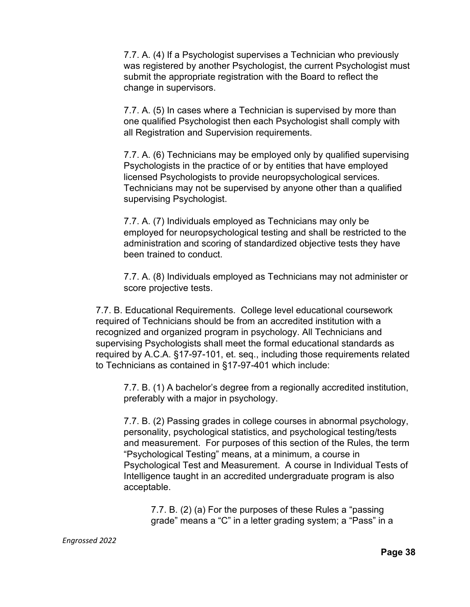7.7. A. (4) If a Psychologist supervises a Technician who previously was registered by another Psychologist, the current Psychologist must submit the appropriate registration with the Board to reflect the change in supervisors.

7.7. A. (5) In cases where a Technician is supervised by more than one qualified Psychologist then each Psychologist shall comply with all Registration and Supervision requirements.

7.7. A. (6) Technicians may be employed only by qualified supervising Psychologists in the practice of or by entities that have employed licensed Psychologists to provide neuropsychological services. Technicians may not be supervised by anyone other than a qualified supervising Psychologist.

7.7. A. (7) Individuals employed as Technicians may only be employed for neuropsychological testing and shall be restricted to the administration and scoring of standardized objective tests they have been trained to conduct.

7.7. A. (8) Individuals employed as Technicians may not administer or score projective tests.

7.7. B. Educational Requirements. College level educational coursework required of Technicians should be from an accredited institution with a recognized and organized program in psychology. All Technicians and supervising Psychologists shall meet the formal educational standards as required by A.C.A. §17-97-101, et. seq., including those requirements related to Technicians as contained in §17-97-401 which include:

7.7. B. (1) A bachelor's degree from a regionally accredited institution, preferably with a major in psychology.

7.7. B. (2) Passing grades in college courses in abnormal psychology, personality, psychological statistics, and psychological testing/tests and measurement. For purposes of this section of the Rules, the term "Psychological Testing" means, at a minimum, a course in Psychological Test and Measurement. A course in Individual Tests of Intelligence taught in an accredited undergraduate program is also acceptable.

7.7. B. (2) (a) For the purposes of these Rules a "passing grade" means a "C" in a letter grading system; a "Pass" in a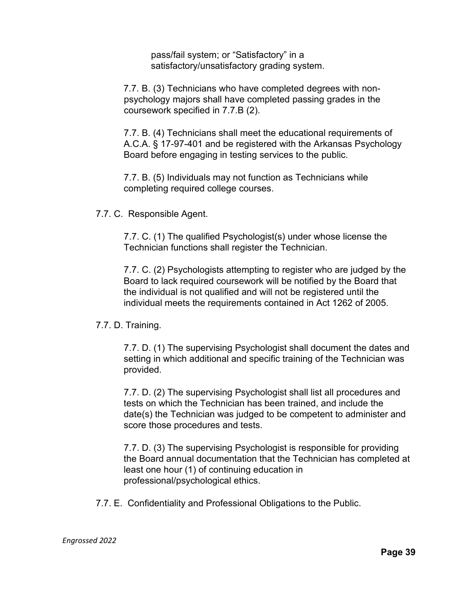pass/fail system; or "Satisfactory" in a satisfactory/unsatisfactory grading system.

7.7. B. (3) Technicians who have completed degrees with nonpsychology majors shall have completed passing grades in the coursework specified in 7.7.B (2).

7.7. B. (4) Technicians shall meet the educational requirements of A.C.A. § 17-97-401 and be registered with the Arkansas Psychology Board before engaging in testing services to the public.

7.7. B. (5) Individuals may not function as Technicians while completing required college courses.

7.7. C. Responsible Agent.

7.7. C. (1) The qualified Psychologist(s) under whose license the Technician functions shall register the Technician.

7.7. C. (2) Psychologists attempting to register who are judged by the Board to lack required coursework will be notified by the Board that the individual is not qualified and will not be registered until the individual meets the requirements contained in Act 1262 of 2005.

7.7. D. Training.

7.7. D. (1) The supervising Psychologist shall document the dates and setting in which additional and specific training of the Technician was provided.

7.7. D. (2) The supervising Psychologist shall list all procedures and tests on which the Technician has been trained, and include the date(s) the Technician was judged to be competent to administer and score those procedures and tests.

7.7. D. (3) The supervising Psychologist is responsible for providing the Board annual documentation that the Technician has completed at least one hour (1) of continuing education in professional/psychological ethics.

7.7. E. Confidentiality and Professional Obligations to the Public.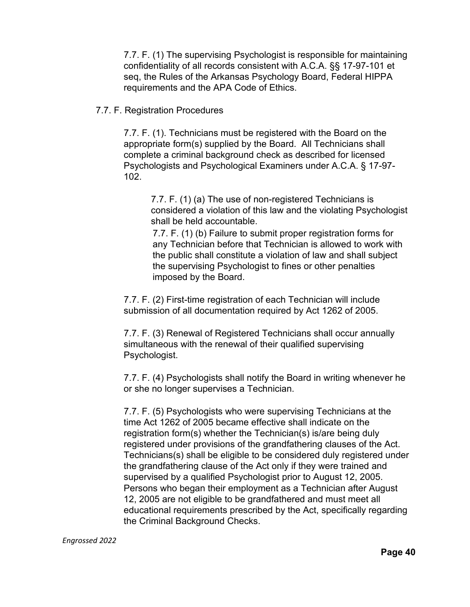7.7. F. (1) The supervising Psychologist is responsible for maintaining confidentiality of all records consistent with A.C.A. §§ 17-97-101 et seq, the Rules of the Arkansas Psychology Board, Federal HIPPA requirements and the APA Code of Ethics.

#### 7.7. F. Registration Procedures

7.7. F. (1). Technicians must be registered with the Board on the appropriate form(s) supplied by the Board. All Technicians shall complete a criminal background check as described for licensed Psychologists and Psychological Examiners under A.C.A. § 17-97- 102.

7.7. F. (1) (a) The use of non-registered Technicians is considered a violation of this law and the violating Psychologist shall be held accountable.

7.7. F. (1) (b) Failure to submit proper registration forms for any Technician before that Technician is allowed to work with the public shall constitute a violation of law and shall subject the supervising Psychologist to fines or other penalties imposed by the Board.

7.7. F. (2) First-time registration of each Technician will include submission of all documentation required by Act 1262 of 2005.

7.7. F. (3) Renewal of Registered Technicians shall occur annually simultaneous with the renewal of their qualified supervising Psychologist.

7.7. F. (4) Psychologists shall notify the Board in writing whenever he or she no longer supervises a Technician.

7.7. F. (5) Psychologists who were supervising Technicians at the time Act 1262 of 2005 became effective shall indicate on the registration form(s) whether the Technician(s) is/are being duly registered under provisions of the grandfathering clauses of the Act. Technicians(s) shall be eligible to be considered duly registered under the grandfathering clause of the Act only if they were trained and supervised by a qualified Psychologist prior to August 12, 2005. Persons who began their employment as a Technician after August 12, 2005 are not eligible to be grandfathered and must meet all educational requirements prescribed by the Act, specifically regarding the Criminal Background Checks.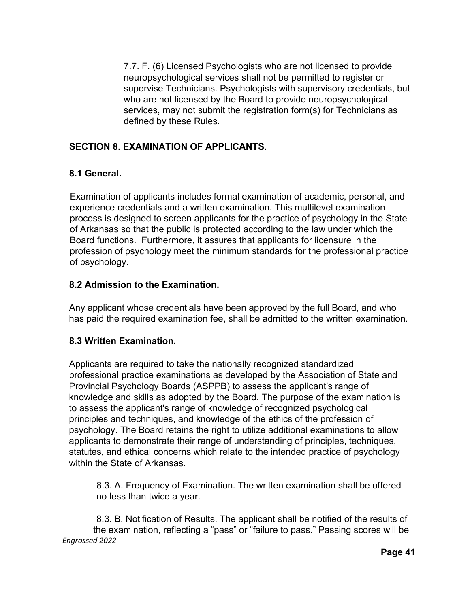7.7. F. (6) Licensed Psychologists who are not licensed to provide neuropsychological services shall not be permitted to register or supervise Technicians. Psychologists with supervisory credentials, but who are not licensed by the Board to provide neuropsychological services, may not submit the registration form(s) for Technicians as defined by these Rules.

# **SECTION 8. EXAMINATION OF APPLICANTS.**

# **8.1 General.**

Examination of applicants includes formal examination of academic, personal, and experience credentials and a written examination. This multilevel examination process is designed to screen applicants for the practice of psychology in the State of Arkansas so that the public is protected according to the law under which the Board functions. Furthermore, it assures that applicants for licensure in the profession of psychology meet the minimum standards for the professional practice of psychology.

# **8.2 Admission to the Examination.**

Any applicant whose credentials have been approved by the full Board, and who has paid the required examination fee, shall be admitted to the written examination.

## **8.3 Written Examination.**

Applicants are required to take the nationally recognized standardized professional practice examinations as developed by the Association of State and Provincial Psychology Boards (ASPPB) to assess the applicant's range of knowledge and skills as adopted by the Board. The purpose of the examination is to assess the applicant's range of knowledge of recognized psychological principles and techniques, and knowledge of the ethics of the profession of psychology. The Board retains the right to utilize additional examinations to allow applicants to demonstrate their range of understanding of principles, techniques, statutes, and ethical concerns which relate to the intended practice of psychology within the State of Arkansas.

8.3. A. Frequency of Examination. The written examination shall be offered no less than twice a year.

*Engrossed 2022* 8.3. B. Notification of Results. The applicant shall be notified of the results of the examination, reflecting a "pass" or "failure to pass." Passing scores will be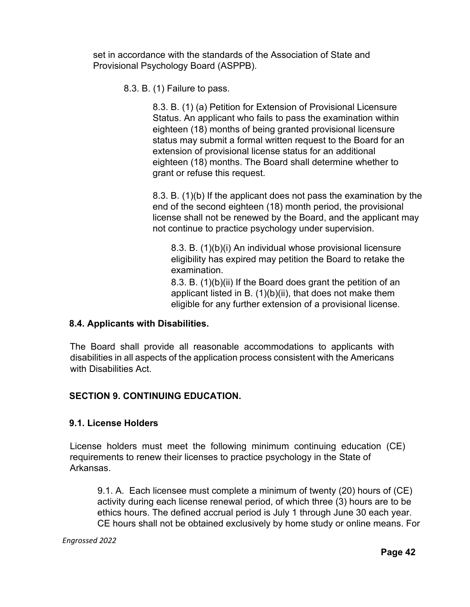set in accordance with the standards of the Association of State and Provisional Psychology Board (ASPPB).

8.3. B. (1) Failure to pass.

8.3. B. (1) (a) Petition for Extension of Provisional Licensure Status. An applicant who fails to pass the examination within eighteen (18) months of being granted provisional licensure status may submit a formal written request to the Board for an extension of provisional license status for an additional eighteen (18) months. The Board shall determine whether to grant or refuse this request.

8.3. B. (1)(b) If the applicant does not pass the examination by the end of the second eighteen (18) month period, the provisional license shall not be renewed by the Board, and the applicant may not continue to practice psychology under supervision.

8.3. B. (1)(b)(i) An individual whose provisional licensure eligibility has expired may petition the Board to retake the examination.

8.3. B. (1)(b)(ii) If the Board does grant the petition of an applicant listed in B. (1)(b)(ii), that does not make them eligible for any further extension of a provisional license.

## **8.4. Applicants with Disabilities.**

The Board shall provide all reasonable accommodations to applicants with disabilities in all aspects of the application process consistent with the Americans with Disabilities Act.

## **SECTION 9. CONTINUING EDUCATION.**

### **9.1. License Holders**

License holders must meet the following minimum continuing education (CE) requirements to renew their licenses to practice psychology in the State of Arkansas.

9.1. A. Each licensee must complete a minimum of twenty (20) hours of (CE) activity during each license renewal period, of which three (3) hours are to be ethics hours. The defined accrual period is July 1 through June 30 each year. CE hours shall not be obtained exclusively by home study or online means. For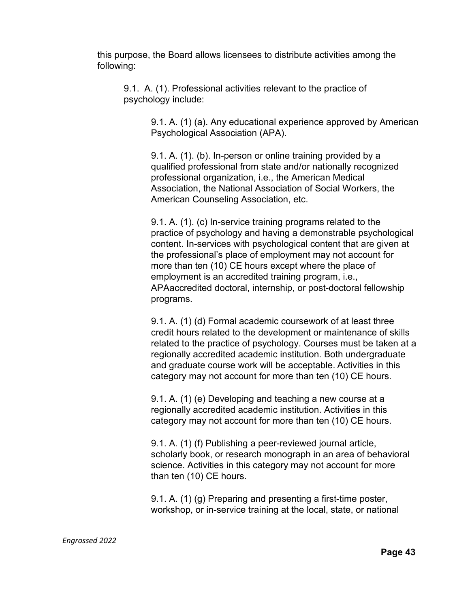this purpose, the Board allows licensees to distribute activities among the following:

9.1. A. (1). Professional activities relevant to the practice of psychology include:

> 9.1. A. (1) (a). Any educational experience approved by American Psychological Association (APA).

9.1. A. (1). (b). In-person or online training provided by a qualified professional from state and/or nationally recognized professional organization, i.e., the American Medical Association, the National Association of Social Workers, the American Counseling Association, etc.

9.1. A. (1). (c) In-service training programs related to the practice of psychology and having a demonstrable psychological content. In-services with psychological content that are given at the professional's place of employment may not account for more than ten (10) CE hours except where the place of employment is an accredited training program, i.e., APAaccredited doctoral, internship, or post-doctoral fellowship programs.

9.1. A. (1) (d) Formal academic coursework of at least three credit hours related to the development or maintenance of skills related to the practice of psychology. Courses must be taken at a regionally accredited academic institution. Both undergraduate and graduate course work will be acceptable. Activities in this category may not account for more than ten (10) CE hours.

9.1. A. (1) (e) Developing and teaching a new course at a regionally accredited academic institution. Activities in this category may not account for more than ten (10) CE hours.

9.1. A. (1) (f) Publishing a peer-reviewed journal article, scholarly book, or research monograph in an area of behavioral science. Activities in this category may not account for more than ten (10) CE hours.

9.1. A. (1) (g) Preparing and presenting a first-time poster, workshop, or in-service training at the local, state, or national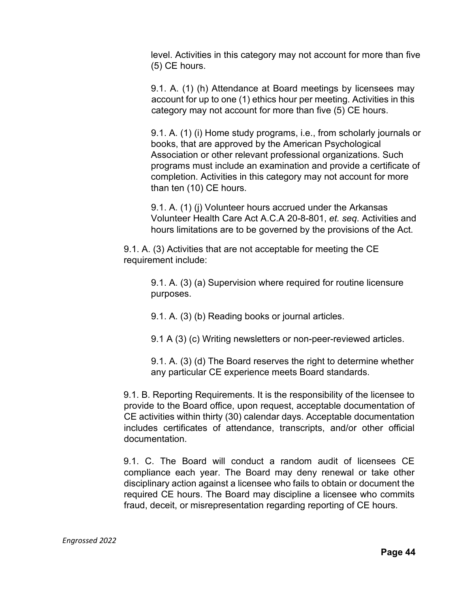level. Activities in this category may not account for more than five (5) CE hours.

9.1. A. (1) (h) Attendance at Board meetings by licensees may account for up to one (1) ethics hour per meeting. Activities in this category may not account for more than five (5) CE hours.

9.1. A. (1) (i) Home study programs, i.e., from scholarly journals or books, that are approved by the American Psychological Association or other relevant professional organizations. Such programs must include an examination and provide a certificate of completion. Activities in this category may not account for more than ten (10) CE hours.

9.1. A. (1) (j) Volunteer hours accrued under the Arkansas Volunteer Health Care Act A.C.A 20-8-801, *et. seq.* Activities and hours limitations are to be governed by the provisions of the Act.

9.1. A. (3) Activities that are not acceptable for meeting the CE requirement include:

> 9.1. A. (3) (a) Supervision where required for routine licensure purposes.

9.1. A. (3) (b) Reading books or journal articles.

9.1 A (3) (c) Writing newsletters or non-peer-reviewed articles.

9.1. A. (3) (d) The Board reserves the right to determine whether any particular CE experience meets Board standards.

9.1. B. Reporting Requirements. It is the responsibility of the licensee to provide to the Board office, upon request, acceptable documentation of CE activities within thirty (30) calendar days. Acceptable documentation includes certificates of attendance, transcripts, and/or other official documentation.

9.1. C. The Board will conduct a random audit of licensees CE compliance each year. The Board may deny renewal or take other disciplinary action against a licensee who fails to obtain or document the required CE hours. The Board may discipline a licensee who commits fraud, deceit, or misrepresentation regarding reporting of CE hours.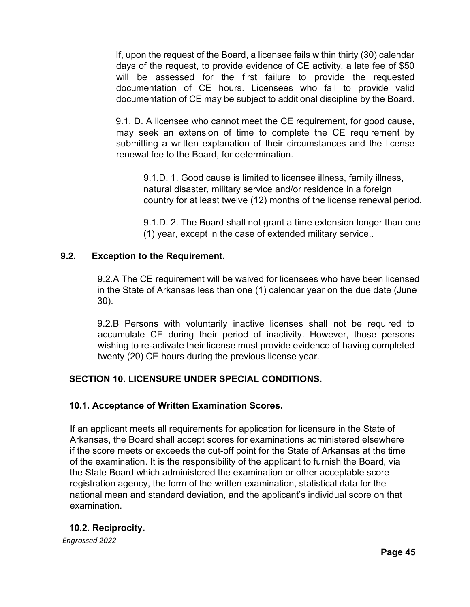If, upon the request of the Board, a licensee fails within thirty (30) calendar days of the request, to provide evidence of CE activity, a late fee of \$50 will be assessed for the first failure to provide the requested documentation of CE hours. Licensees who fail to provide valid documentation of CE may be subject to additional discipline by the Board.

9.1. D. A licensee who cannot meet the CE requirement, for good cause, may seek an extension of time to complete the CE requirement by submitting a written explanation of their circumstances and the license renewal fee to the Board, for determination.

9.1.D. 1. Good cause is limited to licensee illness, family illness, natural disaster, military service and/or residence in a foreign country for at least twelve (12) months of the license renewal period.

9.1.D. 2. The Board shall not grant a time extension longer than one (1) year, except in the case of extended military service..

# **9.2. Exception to the Requirement.**

9.2.A The CE requirement will be waived for licensees who have been licensed in the State of Arkansas less than one (1) calendar year on the due date (June 30).

9.2.B Persons with voluntarily inactive licenses shall not be required to accumulate CE during their period of inactivity. However, those persons wishing to re-activate their license must provide evidence of having completed twenty (20) CE hours during the previous license year.

# **SECTION 10. LICENSURE UNDER SPECIAL CONDITIONS.**

## **10.1. Acceptance of Written Examination Scores.**

If an applicant meets all requirements for application for licensure in the State of Arkansas, the Board shall accept scores for examinations administered elsewhere if the score meets or exceeds the cut-off point for the State of Arkansas at the time of the examination. It is the responsibility of the applicant to furnish the Board, via the State Board which administered the examination or other acceptable score registration agency, the form of the written examination, statistical data for the national mean and standard deviation, and the applicant's individual score on that examination.

# **10.2. Reciprocity.**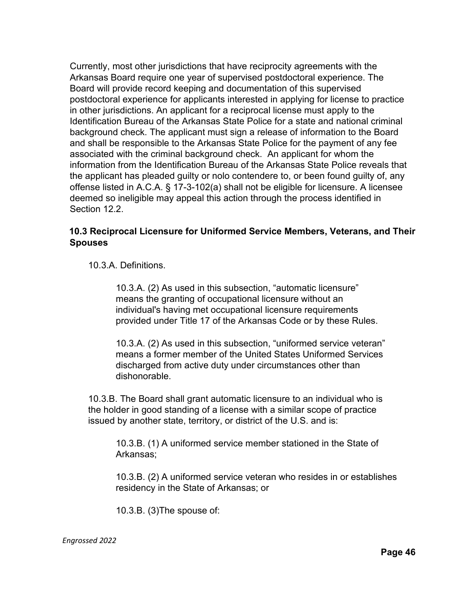Currently, most other jurisdictions that have reciprocity agreements with the Arkansas Board require one year of supervised postdoctoral experience. The Board will provide record keeping and documentation of this supervised postdoctoral experience for applicants interested in applying for license to practice in other jurisdictions. An applicant for a reciprocal license must apply to the Identification Bureau of the Arkansas State Police for a state and national criminal background check. The applicant must sign a release of information to the Board and shall be responsible to the Arkansas State Police for the payment of any fee associated with the criminal background check. An applicant for whom the information from the Identification Bureau of the Arkansas State Police reveals that the applicant has pleaded guilty or nolo contendere to, or been found guilty of, any offense listed in A.C.A. § 17-3-102(a) shall not be eligible for licensure. A licensee deemed so ineligible may appeal this action through the process identified in Section 12.2.

## **10.3 Reciprocal Licensure for Uniformed Service Members, Veterans, and Their Spouses**

10.3.A. Definitions.

10.3.A. (2) As used in this subsection, "automatic licensure" means the granting of occupational licensure without an individual's having met occupational licensure requirements provided under Title 17 of the Arkansas Code or by these Rules.

10.3.A. (2) As used in this subsection, "uniformed service veteran" means a former member of the United States Uniformed Services discharged from active duty under circumstances other than dishonorable.

10.3.B. The Board shall grant automatic licensure to an individual who is the holder in good standing of a license with a similar scope of practice issued by another state, territory, or district of the U.S. and is:

10.3.B. (1) A uniformed service member stationed in the State of Arkansas;

10.3.B. (2) A uniformed service veteran who resides in or establishes residency in the State of Arkansas; or

10.3.B. (3)The spouse of: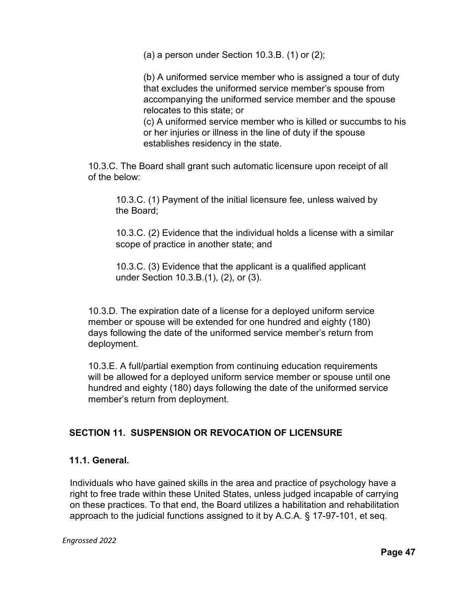(a) a person under Section 10.3.B.  $(1)$  or  $(2)$ ;

(b) A uniformed service member who is assigned a tour of duty that excludes the uniformed service member's spouse from accompanying the uniformed service member and the spouse relocates to this state; or

(c) A uniformed service member who is killed or succumbs to his or her injuries or illness in the line of duty if the spouse establishes residency in the state.

10.3.C. The Board shall grant such automatic licensure upon receipt of all of the below:

10.3.C. (1) Payment of the initial licensure fee, unless waived by the Board;

10.3.C. (2) Evidence that the individual holds a license with a similar scope of practice in another state; and

10.3.C. (3) Evidence that the applicant is a qualified applicant under Section 10.3.B.(1), (2), or (3).

10.3.D. The expiration date of a license for a deployed uniform service member or spouse will be extended for one hundred and eighty (180) days following the date of the uniformed service member's return from deployment.

10.3.E. A full/partial exemption from continuing education requirements will be allowed for a deployed uniform service member or spouse until one hundred and eighty (180) days following the date of the uniformed service member's return from deployment.

# **SECTION 11. SUSPENSION OR REVOCATION OF LICENSURE**

## **11.1. General.**

Individuals who have gained skills in the area and practice of psychology have a right to free trade within these United States, unless judged incapable of carrying on these practices. To that end, the Board utilizes a habilitation and rehabilitation approach to the judicial functions assigned to it by A.C.A. § 17-97-101, et seq.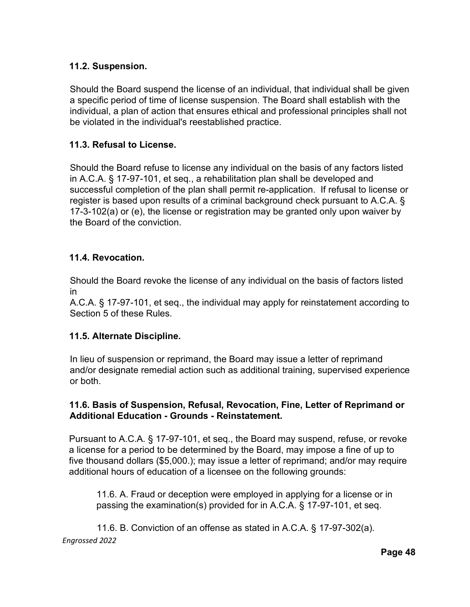## **11.2. Suspension.**

Should the Board suspend the license of an individual, that individual shall be given a specific period of time of license suspension. The Board shall establish with the individual, a plan of action that ensures ethical and professional principles shall not be violated in the individual's reestablished practice.

## **11.3. Refusal to License.**

Should the Board refuse to license any individual on the basis of any factors listed in A.C.A. § 17-97-101, et seq., a rehabilitation plan shall be developed and successful completion of the plan shall permit re-application. If refusal to license or register is based upon results of a criminal background check pursuant to A.C.A. § 17-3-102(a) or (e), the license or registration may be granted only upon waiver by the Board of the conviction.

### **11.4. Revocation.**

Should the Board revoke the license of any individual on the basis of factors listed in

A.C.A. § 17-97-101, et seq., the individual may apply for reinstatement according to Section 5 of these Rules.

### **11.5. Alternate Discipline.**

In lieu of suspension or reprimand, the Board may issue a letter of reprimand and/or designate remedial action such as additional training, supervised experience or both.

## **11.6. Basis of Suspension, Refusal, Revocation, Fine, Letter of Reprimand or Additional Education - Grounds - Reinstatement.**

Pursuant to A.C.A. § 17-97-101, et seq., the Board may suspend, refuse, or revoke a license for a period to be determined by the Board, may impose a fine of up to five thousand dollars (\$5,000.); may issue a letter of reprimand; and/or may require additional hours of education of a licensee on the following grounds:

11.6. A. Fraud or deception were employed in applying for a license or in passing the examination(s) provided for in A.C.A. § 17-97-101, et seq.

*Engrossed 2022* 11.6. B. Conviction of an offense as stated in A.C.A. § 17-97-302(a).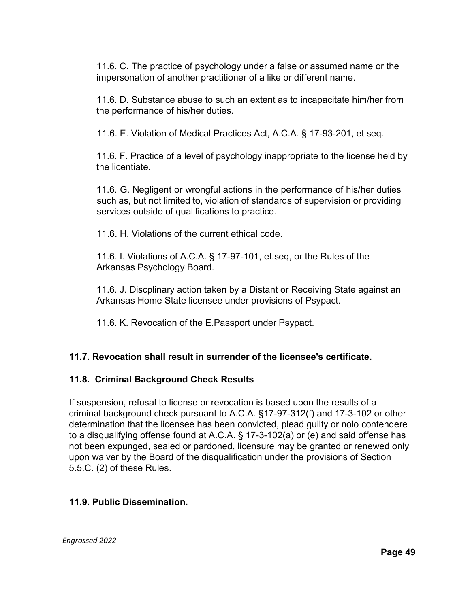11.6. C. The practice of psychology under a false or assumed name or the impersonation of another practitioner of a like or different name.

11.6. D. Substance abuse to such an extent as to incapacitate him/her from the performance of his/her duties.

11.6. E. Violation of Medical Practices Act, A.C.A. § 17-93-201, et seq.

11.6. F. Practice of a level of psychology inappropriate to the license held by the licentiate.

11.6. G. Negligent or wrongful actions in the performance of his/her duties such as, but not limited to, violation of standards of supervision or providing services outside of qualifications to practice.

11.6. H. Violations of the current ethical code.

11.6. I. Violations of A.C.A. § 17-97-101, et.seq, or the Rules of the Arkansas Psychology Board.

11.6. J. Discplinary action taken by a Distant or Receiving State against an Arkansas Home State licensee under provisions of Psypact.

11.6. K. Revocation of the E.Passport under Psypact.

## **11.7. Revocation shall result in surrender of the licensee's certificate.**

### **11.8. Criminal Background Check Results**

If suspension, refusal to license or revocation is based upon the results of a criminal background check pursuant to A.C.A. §17-97-312(f) and 17-3-102 or other determination that the licensee has been convicted, plead guilty or nolo contendere to a disqualifying offense found at A.C.A. § 17-3-102(a) or (e) and said offense has not been expunged, sealed or pardoned, licensure may be granted or renewed only upon waiver by the Board of the disqualification under the provisions of Section 5.5.C. (2) of these Rules.

### **11.9. Public Dissemination.**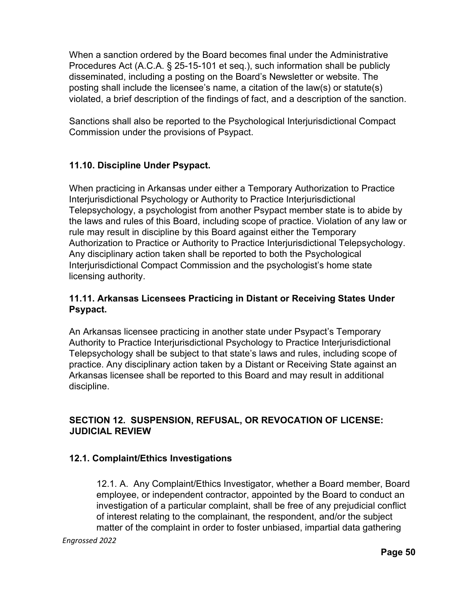When a sanction ordered by the Board becomes final under the Administrative Procedures Act (A.C.A. § 25-15-101 et seq.), such information shall be publicly disseminated, including a posting on the Board's Newsletter or website. The posting shall include the licensee's name, a citation of the law(s) or statute(s) violated, a brief description of the findings of fact, and a description of the sanction.

Sanctions shall also be reported to the Psychological Interjurisdictional Compact Commission under the provisions of Psypact.

# **11.10. Discipline Under Psypact.**

When practicing in Arkansas under either a Temporary Authorization to Practice Interjurisdictional Psychology or Authority to Practice Interjurisdictional Telepsychology, a psychologist from another Psypact member state is to abide by the laws and rules of this Board, including scope of practice. Violation of any law or rule may result in discipline by this Board against either the Temporary Authorization to Practice or Authority to Practice Interjurisdictional Telepsychology. Any disciplinary action taken shall be reported to both the Psychological Interjurisdictional Compact Commission and the psychologist's home state licensing authority.

## **11.11. Arkansas Licensees Practicing in Distant or Receiving States Under Psypact.**

An Arkansas licensee practicing in another state under Psypact's Temporary Authority to Practice Interjurisdictional Psychology to Practice Interjurisdictional Telepsychology shall be subject to that state's laws and rules, including scope of practice. Any disciplinary action taken by a Distant or Receiving State against an Arkansas licensee shall be reported to this Board and may result in additional discipline.

# **SECTION 12. SUSPENSION, REFUSAL, OR REVOCATION OF LICENSE: JUDICIAL REVIEW**

## **12.1. Complaint/Ethics Investigations**

12.1. A. Any Complaint/Ethics Investigator, whether a Board member, Board employee, or independent contractor, appointed by the Board to conduct an investigation of a particular complaint, shall be free of any prejudicial conflict of interest relating to the complainant, the respondent, and/or the subject matter of the complaint in order to foster unbiased, impartial data gathering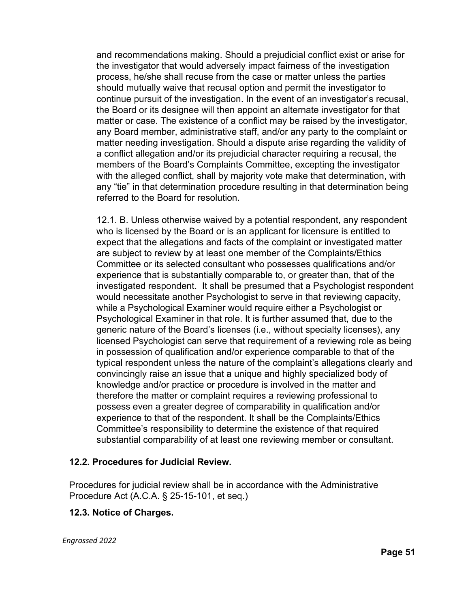and recommendations making. Should a prejudicial conflict exist or arise for the investigator that would adversely impact fairness of the investigation process, he/she shall recuse from the case or matter unless the parties should mutually waive that recusal option and permit the investigator to continue pursuit of the investigation. In the event of an investigator's recusal, the Board or its designee will then appoint an alternate investigator for that matter or case. The existence of a conflict may be raised by the investigator, any Board member, administrative staff, and/or any party to the complaint or matter needing investigation. Should a dispute arise regarding the validity of a conflict allegation and/or its prejudicial character requiring a recusal, the members of the Board's Complaints Committee, excepting the investigator with the alleged conflict, shall by majority vote make that determination, with any "tie" in that determination procedure resulting in that determination being referred to the Board for resolution.

12.1. B. Unless otherwise waived by a potential respondent, any respondent who is licensed by the Board or is an applicant for licensure is entitled to expect that the allegations and facts of the complaint or investigated matter are subject to review by at least one member of the Complaints/Ethics Committee or its selected consultant who possesses qualifications and/or experience that is substantially comparable to, or greater than, that of the investigated respondent. It shall be presumed that a Psychologist respondent would necessitate another Psychologist to serve in that reviewing capacity, while a Psychological Examiner would require either a Psychologist or Psychological Examiner in that role. It is further assumed that, due to the generic nature of the Board's licenses (i.e., without specialty licenses), any licensed Psychologist can serve that requirement of a reviewing role as being in possession of qualification and/or experience comparable to that of the typical respondent unless the nature of the complaint's allegations clearly and convincingly raise an issue that a unique and highly specialized body of knowledge and/or practice or procedure is involved in the matter and therefore the matter or complaint requires a reviewing professional to possess even a greater degree of comparability in qualification and/or experience to that of the respondent. It shall be the Complaints/Ethics Committee's responsibility to determine the existence of that required substantial comparability of at least one reviewing member or consultant.

### **12.2. Procedures for Judicial Review.**

Procedures for judicial review shall be in accordance with the Administrative Procedure Act (A.C.A. § 25-15-101, et seq.)

### **12.3. Notice of Charges.**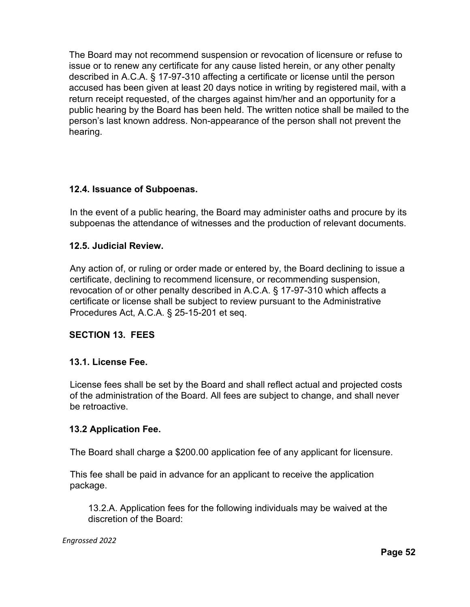The Board may not recommend suspension or revocation of licensure or refuse to issue or to renew any certificate for any cause listed herein, or any other penalty described in A.C.A. § 17-97-310 affecting a certificate or license until the person accused has been given at least 20 days notice in writing by registered mail, with a return receipt requested, of the charges against him/her and an opportunity for a public hearing by the Board has been held. The written notice shall be mailed to the person's last known address. Non-appearance of the person shall not prevent the hearing.

## **12.4. Issuance of Subpoenas.**

In the event of a public hearing, the Board may administer oaths and procure by its subpoenas the attendance of witnesses and the production of relevant documents.

## **12.5. Judicial Review.**

Any action of, or ruling or order made or entered by, the Board declining to issue a certificate, declining to recommend licensure, or recommending suspension, revocation of or other penalty described in A.C.A. § 17-97-310 which affects a certificate or license shall be subject to review pursuant to the Administrative Procedures Act, A.C.A. § 25-15-201 et seq.

## **SECTION 13. FEES**

### **13.1. License Fee.**

License fees shall be set by the Board and shall reflect actual and projected costs of the administration of the Board. All fees are subject to change, and shall never be retroactive.

### **13.2 Application Fee.**

The Board shall charge a \$200.00 application fee of any applicant for licensure.

This fee shall be paid in advance for an applicant to receive the application package.

13.2.A. Application fees for the following individuals may be waived at the discretion of the Board: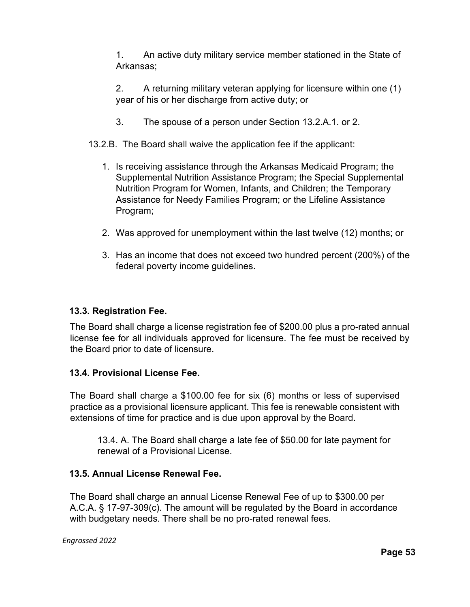1. An active duty military service member stationed in the State of Arkansas;

2. A returning military veteran applying for licensure within one (1) year of his or her discharge from active duty; or

3. The spouse of a person under Section 13.2.A.1. or 2.

## 13.2.B. The Board shall waive the application fee if the applicant:

- 1. Is receiving assistance through the Arkansas Medicaid Program; the Supplemental Nutrition Assistance Program; the Special Supplemental Nutrition Program for Women, Infants, and Children; the Temporary Assistance for Needy Families Program; or the Lifeline Assistance Program;
- 2. Was approved for unemployment within the last twelve (12) months; or
- 3. Has an income that does not exceed two hundred percent (200%) of the federal poverty income guidelines.

## **13.3. Registration Fee.**

The Board shall charge a license registration fee of \$200.00 plus a pro-rated annual license fee for all individuals approved for licensure. The fee must be received by the Board prior to date of licensure.

### **13.4. Provisional License Fee.**

The Board shall charge a \$100.00 fee for six (6) months or less of supervised practice as a provisional licensure applicant. This fee is renewable consistent with extensions of time for practice and is due upon approval by the Board.

13.4. A. The Board shall charge a late fee of \$50.00 for late payment for renewal of a Provisional License.

## **13.5. Annual License Renewal Fee.**

The Board shall charge an annual License Renewal Fee of up to \$300.00 per A.C.A. § 17-97-309(c). The amount will be regulated by the Board in accordance with budgetary needs. There shall be no pro-rated renewal fees.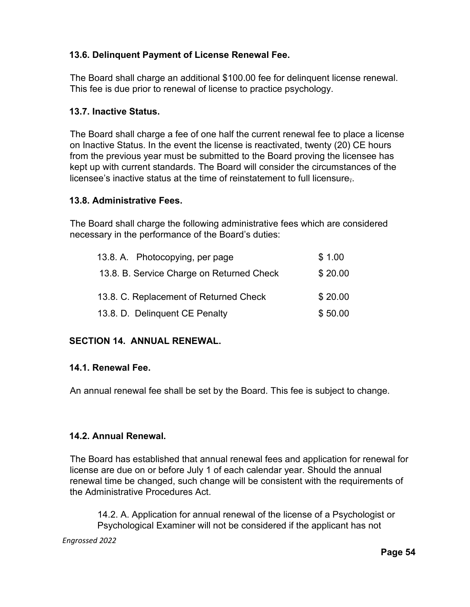# **13.6. Delinquent Payment of License Renewal Fee.**

The Board shall charge an additional \$100.00 fee for delinquent license renewal. This fee is due prior to renewal of license to practice psychology.

## **13.7. Inactive Status.**

The Board shall charge a fee of one half the current renewal fee to place a license on Inactive Status. In the event the license is reactivated, twenty (20) CE hours from the previous year must be submitted to the Board proving the licensee has kept up with current standards. The Board will consider the circumstances of the licensee's inactive status at the time of reinstatement to full licensure,.

## **13.8. Administrative Fees.**

The Board shall charge the following administrative fees which are considered necessary in the performance of the Board's duties:

| 13.8. A. Photocopying, per page           | \$1.00  |
|-------------------------------------------|---------|
| 13.8. B. Service Charge on Returned Check | \$20.00 |
| 13.8. C. Replacement of Returned Check    | \$20.00 |
| 13.8. D. Delinquent CE Penalty            | \$50.00 |

# **SECTION 14. ANNUAL RENEWAL.**

## **14.1. Renewal Fee.**

An annual renewal fee shall be set by the Board. This fee is subject to change.

## **14.2. Annual Renewal.**

The Board has established that annual renewal fees and application for renewal for license are due on or before July 1 of each calendar year. Should the annual renewal time be changed, such change will be consistent with the requirements of the Administrative Procedures Act.

14.2. A. Application for annual renewal of the license of a Psychologist or Psychological Examiner will not be considered if the applicant has not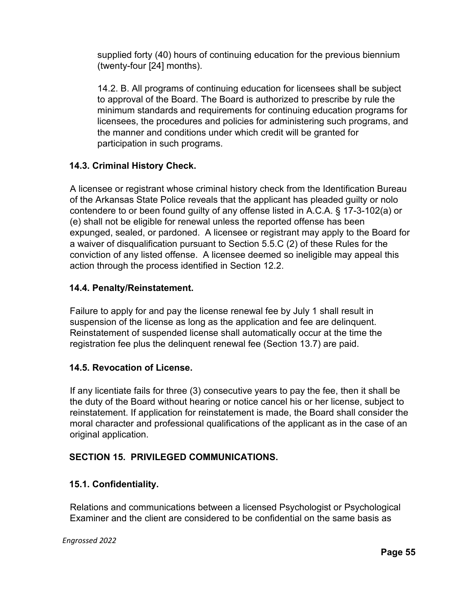supplied forty (40) hours of continuing education for the previous biennium (twenty-four [24] months).

14.2. B. All programs of continuing education for licensees shall be subject to approval of the Board. The Board is authorized to prescribe by rule the minimum standards and requirements for continuing education programs for licensees, the procedures and policies for administering such programs, and the manner and conditions under which credit will be granted for participation in such programs.

# **14.3. Criminal History Check.**

A licensee or registrant whose criminal history check from the Identification Bureau of the Arkansas State Police reveals that the applicant has pleaded guilty or nolo contendere to or been found guilty of any offense listed in A.C.A. § 17-3-102(a) or (e) shall not be eligible for renewal unless the reported offense has been expunged, sealed, or pardoned. A licensee or registrant may apply to the Board for a waiver of disqualification pursuant to Section 5.5.C (2) of these Rules for the conviction of any listed offense. A licensee deemed so ineligible may appeal this action through the process identified in Section 12.2.

## **14.4. Penalty/Reinstatement.**

Failure to apply for and pay the license renewal fee by July 1 shall result in suspension of the license as long as the application and fee are delinquent. Reinstatement of suspended license shall automatically occur at the time the registration fee plus the delinquent renewal fee (Section 13.7) are paid.

## **14.5. Revocation of License.**

If any licentiate fails for three (3) consecutive years to pay the fee, then it shall be the duty of the Board without hearing or notice cancel his or her license, subject to reinstatement. If application for reinstatement is made, the Board shall consider the moral character and professional qualifications of the applicant as in the case of an original application.

## **SECTION 15. PRIVILEGED COMMUNICATIONS.**

## **15.1. Confidentiality.**

Relations and communications between a licensed Psychologist or Psychological Examiner and the client are considered to be confidential on the same basis as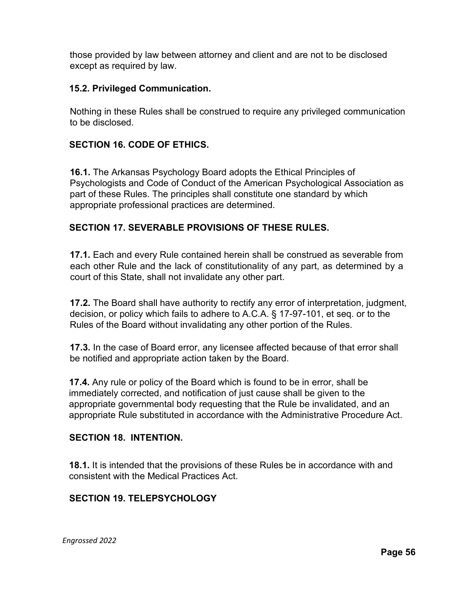those provided by law between attorney and client and are not to be disclosed except as required by law.

### **15.2. Privileged Communication.**

Nothing in these Rules shall be construed to require any privileged communication to be disclosed.

# **SECTION 16. CODE OF ETHICS.**

**16.1.** The Arkansas Psychology Board adopts the Ethical Principles of Psychologists and Code of Conduct of the American Psychological Association as part of these Rules. The principles shall constitute one standard by which appropriate professional practices are determined.

## **SECTION 17. SEVERABLE PROVISIONS OF THESE RULES.**

**17.1.** Each and every Rule contained herein shall be construed as severable from each other Rule and the lack of constitutionality of any part, as determined by a court of this State, shall not invalidate any other part.

**17.2.** The Board shall have authority to rectify any error of interpretation, judgment, decision, or policy which fails to adhere to A.C.A. § 17-97-101, et seq. or to the Rules of the Board without invalidating any other portion of the Rules.

**17.3.** In the case of Board error, any licensee affected because of that error shall be notified and appropriate action taken by the Board.

**17.4.** Any rule or policy of the Board which is found to be in error, shall be immediately corrected, and notification of just cause shall be given to the appropriate governmental body requesting that the Rule be invalidated, and an appropriate Rule substituted in accordance with the Administrative Procedure Act.

## **SECTION 18. INTENTION.**

**18.1.** It is intended that the provisions of these Rules be in accordance with and consistent with the Medical Practices Act.

## **SECTION 19. TELEPSYCHOLOGY**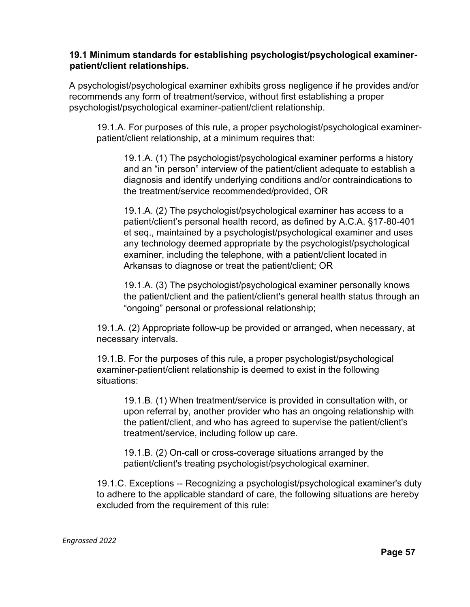### **19.1 Minimum standards for establishing psychologist/psychological examinerpatient/client relationships.**

A psychologist/psychological examiner exhibits gross negligence if he provides and/or recommends any form of treatment/service, without first establishing a proper psychologist/psychological examiner-patient/client relationship.

19.1.A. For purposes of this rule, a proper psychologist/psychological examinerpatient/client relationship, at a minimum requires that:

19.1.A. (1) The psychologist/psychological examiner performs a history and an "in person" interview of the patient/client adequate to establish a diagnosis and identify underlying conditions and/or contraindications to the treatment/service recommended/provided, OR

19.1.A. (2) The psychologist/psychological examiner has access to a patient/client's personal health record, as defined by A.C.A. §17-80-401 et seq., maintained by a psychologist/psychological examiner and uses any technology deemed appropriate by the psychologist/psychological examiner, including the telephone, with a patient/client located in Arkansas to diagnose or treat the patient/client; OR

19.1.A. (3) The psychologist/psychological examiner personally knows the patient/client and the patient/client's general health status through an "ongoing" personal or professional relationship;

19.1.A. (2) Appropriate follow-up be provided or arranged, when necessary, at necessary intervals.

19.1.B. For the purposes of this rule, a proper psychologist/psychological examiner-patient/client relationship is deemed to exist in the following situations:

19.1.B. (1) When treatment/service is provided in consultation with, or upon referral by, another provider who has an ongoing relationship with the patient/client, and who has agreed to supervise the patient/client's treatment/service, including follow up care.

19.1.B. (2) On-call or cross-coverage situations arranged by the patient/client's treating psychologist/psychological examiner.

19.1.C. Exceptions -- Recognizing a psychologist/psychological examiner's duty to adhere to the applicable standard of care, the following situations are hereby excluded from the requirement of this rule: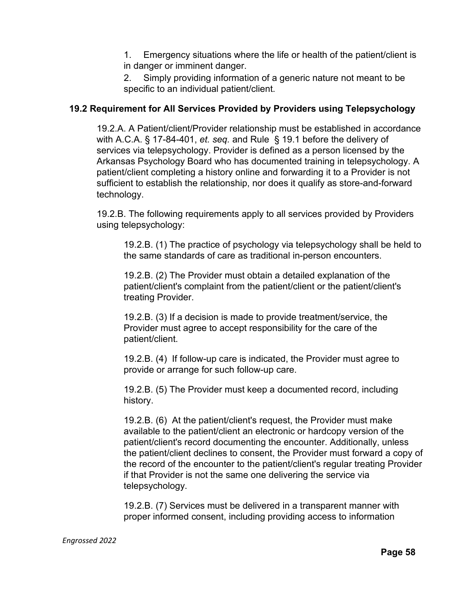1. Emergency situations where the life or health of the patient/client is in danger or imminent danger.

2. Simply providing information of a generic nature not meant to be specific to an individual patient/client.

## **19.2 Requirement for All Services Provided by Providers using Telepsychology**

19.2.A. A Patient/client/Provider relationship must be established in accordance with A.C.A. § 17-84-401, *et. seq.* and Rule § 19.1 before the delivery of services via telepsychology. Provider is defined as a person licensed by the Arkansas Psychology Board who has documented training in telepsychology. A patient/client completing a history online and forwarding it to a Provider is not sufficient to establish the relationship, nor does it qualify as store-and-forward technology.

19.2.B. The following requirements apply to all services provided by Providers using telepsychology:

19.2.B. (1) The practice of psychology via telepsychology shall be held to the same standards of care as traditional in-person encounters.

19.2.B. (2) The Provider must obtain a detailed explanation of the patient/client's complaint from the patient/client or the patient/client's treating Provider.

19.2.B. (3) If a decision is made to provide treatment/service, the Provider must agree to accept responsibility for the care of the patient/client.

19.2.B. (4) If follow-up care is indicated, the Provider must agree to provide or arrange for such follow-up care.

19.2.B. (5) The Provider must keep a documented record, including history.

19.2.B. (6) At the patient/client's request, the Provider must make available to the patient/client an electronic or hardcopy version of the patient/client's record documenting the encounter. Additionally, unless the patient/client declines to consent, the Provider must forward a copy of the record of the encounter to the patient/client's regular treating Provider if that Provider is not the same one delivering the service via telepsychology.

19.2.B. (7) Services must be delivered in a transparent manner with proper informed consent, including providing access to information